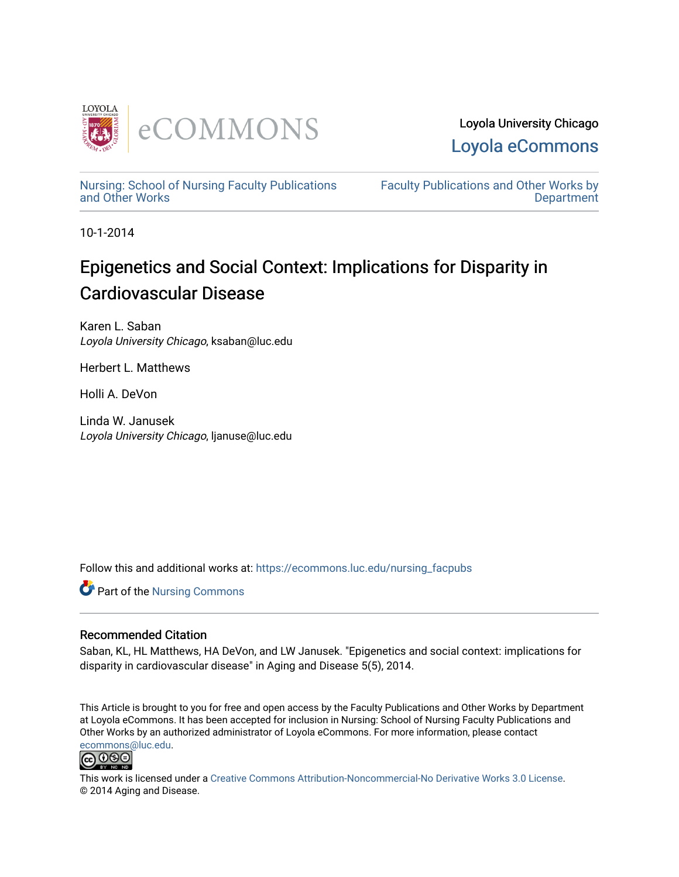

Loyola University Chicago [Loyola eCommons](https://ecommons.luc.edu/) 

[Nursing: School of Nursing Faculty Publications](https://ecommons.luc.edu/nursing_facpubs)  [and Other Works](https://ecommons.luc.edu/nursing_facpubs)

[Faculty Publications and Other Works by](https://ecommons.luc.edu/faculty)  **Department** 

10-1-2014

# Epigenetics and Social Context: Implications for Disparity in Cardiovascular Disease

Karen L. Saban Loyola University Chicago, ksaban@luc.edu

Herbert L. Matthews

Holli A. DeVon

Linda W. Janusek Loyola University Chicago, ljanuse@luc.edu

Follow this and additional works at: [https://ecommons.luc.edu/nursing\\_facpubs](https://ecommons.luc.edu/nursing_facpubs?utm_source=ecommons.luc.edu%2Fnursing_facpubs%2F1&utm_medium=PDF&utm_campaign=PDFCoverPages) 

**Part of the Nursing Commons** 

### Recommended Citation

Saban, KL, HL Matthews, HA DeVon, and LW Janusek. "Epigenetics and social context: implications for disparity in cardiovascular disease" in Aging and Disease 5(5), 2014.

This Article is brought to you for free and open access by the Faculty Publications and Other Works by Department at Loyola eCommons. It has been accepted for inclusion in Nursing: School of Nursing Faculty Publications and Other Works by an authorized administrator of Loyola eCommons. For more information, please contact [ecommons@luc.edu](mailto:ecommons@luc.edu).



This work is licensed under a [Creative Commons Attribution-Noncommercial-No Derivative Works 3.0 License.](https://creativecommons.org/licenses/by-nc-nd/3.0/) © 2014 Aging and Disease.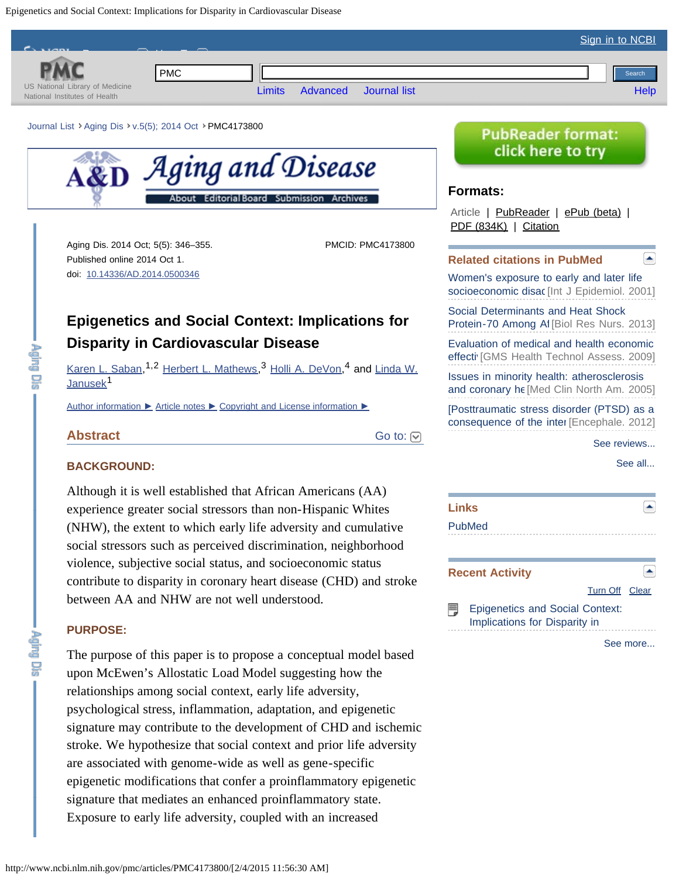<span id="page-1-0"></span>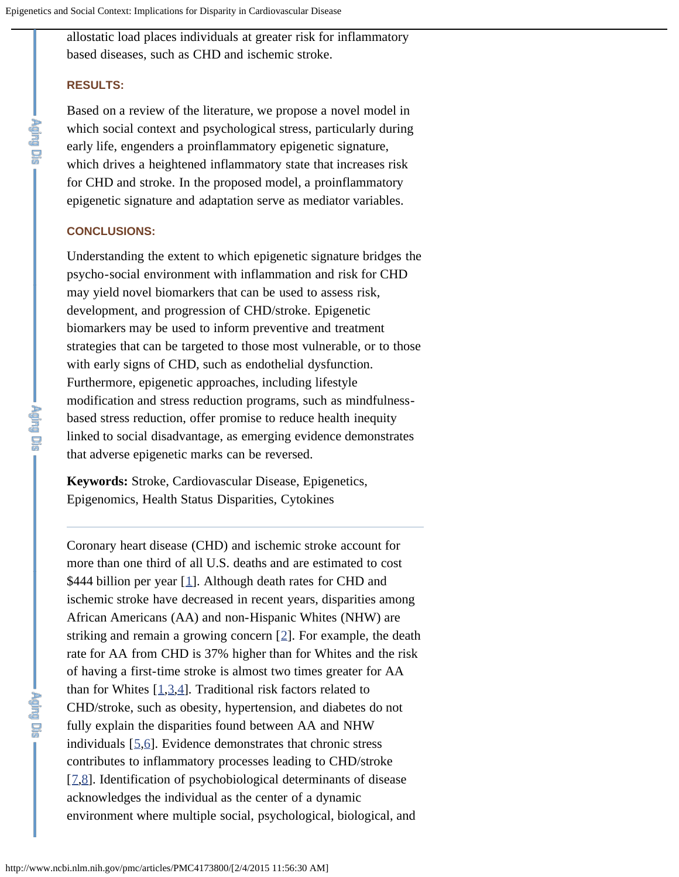allostatic load places individuals at greater risk for inflammatory based diseases, such as CHD and ischemic stroke.

### **RESULTS:**

rgmg us

ing Dia

Based on a review of the literature, we propose a novel model in which social context and psychological stress, particularly during early life, engenders a proinflammatory epigenetic signature, which drives a heightened inflammatory state that increases risk for CHD and stroke. In the proposed model, a proinflammatory epigenetic signature and adaptation serve as mediator variables.

### **CONCLUSIONS:**

Understanding the extent to which epigenetic signature bridges the psycho-social environment with inflammation and risk for CHD may yield novel biomarkers that can be used to assess risk, development, and progression of CHD/stroke. Epigenetic biomarkers may be used to inform preventive and treatment strategies that can be targeted to those most vulnerable, or to those with early signs of CHD, such as endothelial dysfunction. Furthermore, epigenetic approaches, including lifestyle modification and stress reduction programs, such as mindfulnessbased stress reduction, offer promise to reduce health inequity linked to social disadvantage, as emerging evidence demonstrates that adverse epigenetic marks can be reversed.

**Keywords:** Stroke, Cardiovascular Disease, Epigenetics, Epigenomics, Health Status Disparities, Cytokines

Coronary heart disease (CHD) and ischemic stroke account for more than one third of all U.S. deaths and are estimated to cost \$444 billion per year [[1\]](#page-12-0). Although death rates for CHD and ischemic stroke have decreased in recent years, disparities among African Americans (AA) and non-Hispanic Whites (NHW) are striking and remain a growing concern [[2](#page-12-1)]. For example, the death rate for AA from CHD is 37% higher than for Whites and the risk of having a first-time stroke is almost two times greater for AA than for Whites  $[1,3,4]$  $[1,3,4]$  $[1,3,4]$  $[1,3,4]$  $[1,3,4]$ . Traditional risk factors related to CHD/stroke, such as obesity, hypertension, and diabetes do not fully explain the disparities found between AA and NHW individuals  $[5,6]$  $[5,6]$  $[5,6]$ . Evidence demonstrates that chronic stress contributes to inflammatory processes leading to CHD/stroke [[7,](#page-12-6)[8\]](#page-12-7). Identification of psychobiological determinants of disease acknowledges the individual as the center of a dynamic environment where multiple social, psychological, biological, and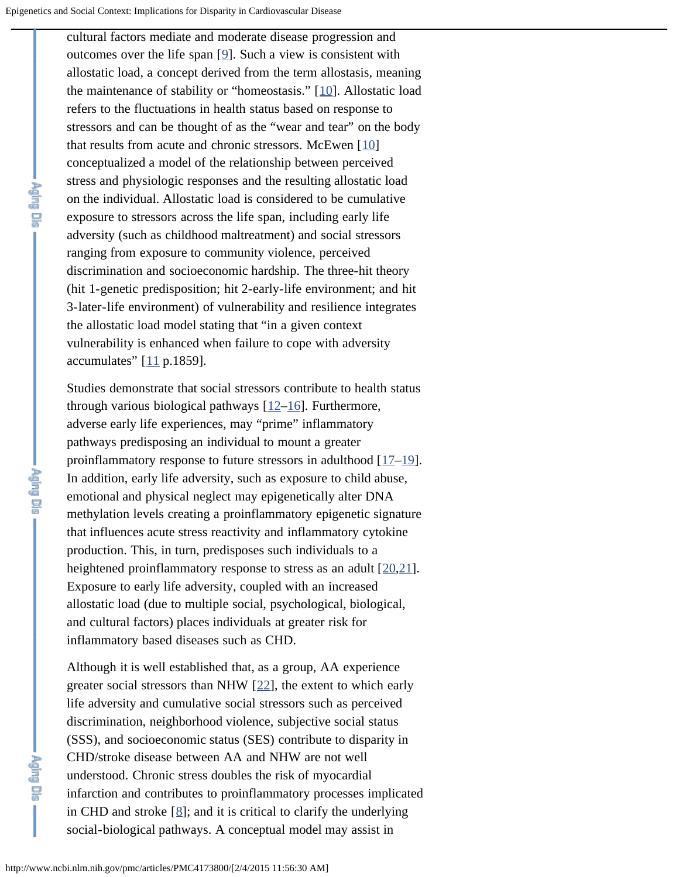cultural factors mediate and moderate disease progression and outcomes over the life span [[9](#page-12-8)]. Such a view is consistent with allostatic load, a concept derived from the term allostasis, meaning the maintenance of stability or "homeostasis." [[10\]](#page-13-0). Allostatic load refers to the fluctuations in health status based on response to stressors and can be thought of as the "wear and tear" on the body that results from acute and chronic stressors. McEwen  $[10]$  $[10]$ conceptualized a model of the relationship between perceived stress and physiologic responses and the resulting allostatic load on the individual. Allostatic load is considered to be cumulative exposure to stressors across the life span, including early life adversity (such as childhood maltreatment) and social stressors ranging from exposure to community violence, perceived discrimination and socioeconomic hardship. The three-hit theory (hit 1-genetic predisposition; hit 2-early-life environment; and hit 3-later-life environment) of vulnerability and resilience integrates the allostatic load model stating that "in a given context vulnerability is enhanced when failure to cope with adversity accumulates"  $[11 p.1859]$  $[11 p.1859]$  $[11 p.1859]$ .

Studies demonstrate that social stressors contribute to health status through various biological pathways  $[12–16]$  $[12–16]$  $[12–16]$  $[12–16]$ . Furthermore, adverse early life experiences, may "prime" inflammatory pathways predisposing an individual to mount a greater proinflammatory response to future stressors in adulthood [[17](#page-13-4)[–19\]](#page-13-5). In addition, early life adversity, such as exposure to child abuse, emotional and physical neglect may epigenetically alter DNA methylation levels creating a proinflammatory epigenetic signature that influences acute stress reactivity and inflammatory cytokine production. This, in turn, predisposes such individuals to a heightened proinflammatory response to stress as an adult [[20,](#page-14-0)[21\]](#page-14-1). Exposure to early life adversity, coupled with an increased allostatic load (due to multiple social, psychological, biological, and cultural factors) places individuals at greater risk for inflammatory based diseases such as CHD.

Although it is well established that, as a group, AA experience greater social stressors than NHW [[22\]](#page-14-2), the extent to which early life adversity and cumulative social stressors such as perceived discrimination, neighborhood violence, subjective social status (SSS), and socioeconomic status (SES) contribute to disparity in CHD/stroke disease between AA and NHW are not well understood. Chronic stress doubles the risk of myocardial infarction and contributes to proinflammatory processes implicated in CHD and stroke  $[8]$  $[8]$ ; and it is critical to clarify the underlying social-biological pathways. A conceptual model may assist in

**Paris Discription**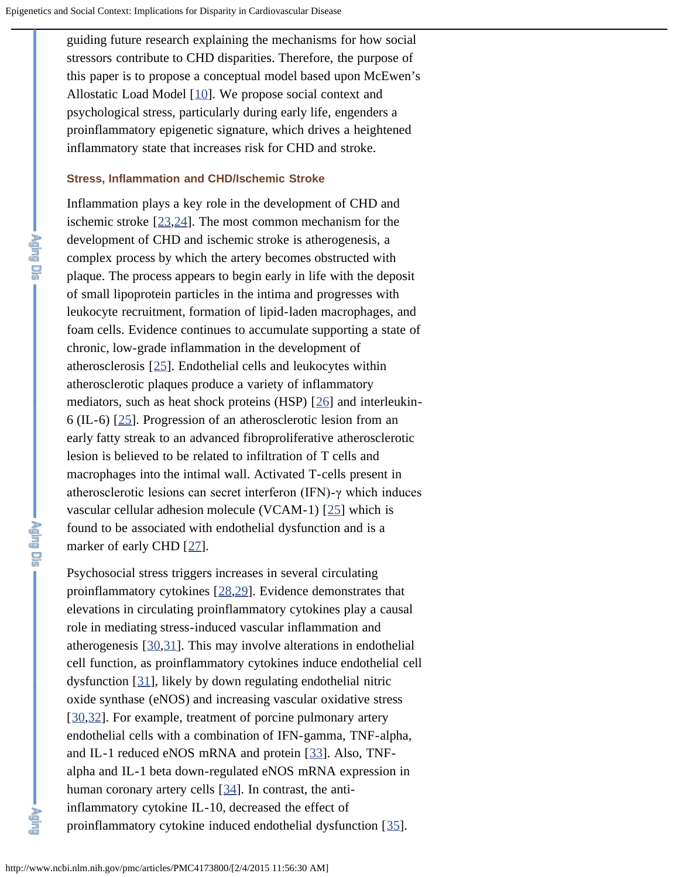guiding future research explaining the mechanisms for how social stressors contribute to CHD disparities. Therefore, the purpose of this paper is to propose a conceptual model based upon McEwen's Allostatic Load Model [[10\]](#page-13-0). We propose social context and psychological stress, particularly during early life, engenders a proinflammatory epigenetic signature, which drives a heightened inflammatory state that increases risk for CHD and stroke.

### **Stress, Inflammation and CHD/Ischemic Stroke**

Inflammation plays a key role in the development of CHD and ischemic stroke [[23](#page-14-3)[,24](#page-14-4)]. The most common mechanism for the development of CHD and ischemic stroke is atherogenesis, a complex process by which the artery becomes obstructed with plaque. The process appears to begin early in life with the deposit of small lipoprotein particles in the intima and progresses with leukocyte recruitment, formation of lipid-laden macrophages, and foam cells. Evidence continues to accumulate supporting a state of chronic, low-grade inflammation in the development of atherosclerosis [[25\]](#page-14-5). Endothelial cells and leukocytes within atherosclerotic plaques produce a variety of inflammatory mediators, such as heat shock proteins (HSP) [[26\]](#page-14-6) and interleukin-6 (IL-6) [[25\]](#page-14-5). Progression of an atherosclerotic lesion from an early fatty streak to an advanced fibroproliferative atherosclerotic lesion is believed to be related to infiltration of T cells and macrophages into the intimal wall. Activated T-cells present in atherosclerotic lesions can secret interferon (IFN)-γ which induces vascular cellular adhesion molecule (VCAM-1) [[25\]](#page-14-5) which is found to be associated with endothelial dysfunction and is a marker of early CHD [[27\]](#page-14-7).

Psychosocial stress triggers increases in several circulating proinflammatory cytokines [[28,](#page-14-8)[29\]](#page-14-9). Evidence demonstrates that elevations in circulating proinflammatory cytokines play a causal role in mediating stress-induced vascular inflammation and atherogenesis [[30,](#page-14-10)[31\]](#page-15-0). This may involve alterations in endothelial cell function, as proinflammatory cytokines induce endothelial cell dysfunction [[31\]](#page-15-0), likely by down regulating endothelial nitric oxide synthase (eNOS) and increasing vascular oxidative stress [[30,](#page-14-10)[32\]](#page-15-1). For example, treatment of porcine pulmonary artery endothelial cells with a combination of IFN-gamma, TNF-alpha, and IL-1 reduced eNOS mRNA and protein [[33](#page-15-2)]. Also, TNFalpha and IL-1 beta down-regulated eNOS mRNA expression in human coronary artery cells [[34\]](#page-15-3). In contrast, the antiinflammatory cytokine IL-10, decreased the effect of proinflammatory cytokine induced endothelial dysfunction [[35\]](#page-15-4).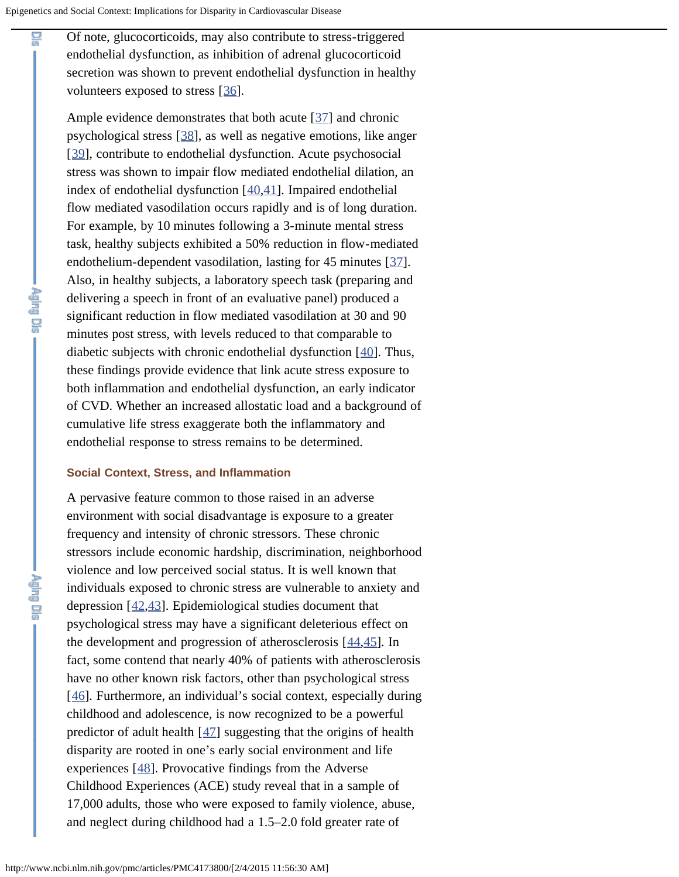Of note, glucocorticoids, may also contribute to stress-triggered endothelial dysfunction, as inhibition of adrenal glucocorticoid secretion was shown to prevent endothelial dysfunction in healthy volunteers exposed to stress [[36\]](#page-15-5).

Ample evidence demonstrates that both acute [[37](#page-15-6)] and chronic psychological stress [[38\]](#page-15-7), as well as negative emotions, like anger [[39\]](#page-15-8), contribute to endothelial dysfunction. Acute psychosocial stress was shown to impair flow mediated endothelial dilation, an index of endothelial dysfunction [[40,](#page-16-0)[41\]](#page-16-1). Impaired endothelial flow mediated vasodilation occurs rapidly and is of long duration. For example, by 10 minutes following a 3-minute mental stress task, healthy subjects exhibited a 50% reduction in flow-mediated endothelium-dependent vasodilation, lasting for 45 minutes [[37\]](#page-15-6). Also, in healthy subjects, a laboratory speech task (preparing and delivering a speech in front of an evaluative panel) produced a significant reduction in flow mediated vasodilation at 30 and 90 minutes post stress, with levels reduced to that comparable to diabetic subjects with chronic endothelial dysfunction [[40\]](#page-16-0). Thus, these findings provide evidence that link acute stress exposure to both inflammation and endothelial dysfunction, an early indicator of CVD. Whether an increased allostatic load and a background of cumulative life stress exaggerate both the inflammatory and endothelial response to stress remains to be determined.

### **Social Context, Stress, and Inflammation**

**Shi** 

A pervasive feature common to those raised in an adverse environment with social disadvantage is exposure to a greater frequency and intensity of chronic stressors. These chronic stressors include economic hardship, discrimination, neighborhood violence and low perceived social status. It is well known that individuals exposed to chronic stress are vulnerable to anxiety and depression [[42,](#page-16-2)[43\]](#page-16-3). Epidemiological studies document that psychological stress may have a significant deleterious effect on the development and progression of atherosclerosis  $[44, 45]$  $[44, 45]$  $[44, 45]$ . In fact, some contend that nearly 40% of patients with atherosclerosis have no other known risk factors, other than psychological stress [[46\]](#page-16-6). Furthermore, an individual's social context, especially during childhood and adolescence, is now recognized to be a powerful predictor of adult health [[47\]](#page-16-7) suggesting that the origins of health disparity are rooted in one's early social environment and life experiences [[48\]](#page-16-8). Provocative findings from the Adverse Childhood Experiences (ACE) study reveal that in a sample of 17,000 adults, those who were exposed to family violence, abuse, and neglect during childhood had a 1.5–2.0 fold greater rate of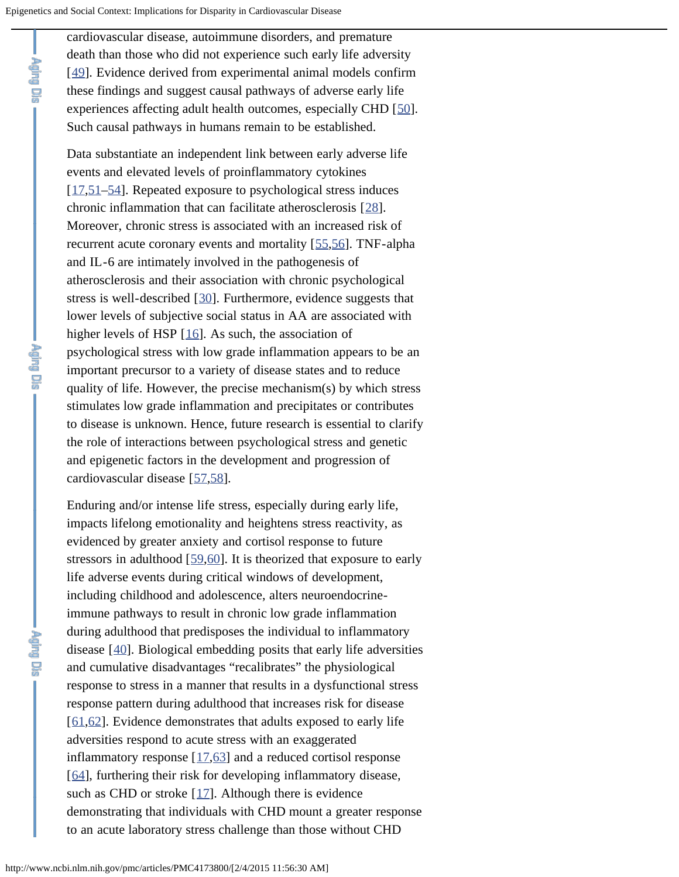cardiovascular disease, autoimmune disorders, and premature death than those who did not experience such early life adversity [[49\]](#page-16-9). Evidence derived from experimental animal models confirm these findings and suggest causal pathways of adverse early life experiences affecting adult health outcomes, especially CHD [[50](#page-17-0)]. Such causal pathways in humans remain to be established.

Data substantiate an independent link between early adverse life events and elevated levels of proinflammatory cytokines [[17,](#page-13-4)[51–](#page-17-1)[54](#page-17-2)]. Repeated exposure to psychological stress induces chronic inflammation that can facilitate atherosclerosis [[28\]](#page-14-8). Moreover, chronic stress is associated with an increased risk of recurrent acute coronary events and mortality [[55](#page-17-3)[,56](#page-17-4)]. TNF-alpha and IL-6 are intimately involved in the pathogenesis of atherosclerosis and their association with chronic psychological stress is well-described [[30](#page-14-10)]. Furthermore, evidence suggests that lower levels of subjective social status in AA are associated with higher levels of HSP [[16\]](#page-13-3). As such, the association of psychological stress with low grade inflammation appears to be an important precursor to a variety of disease states and to reduce quality of life. However, the precise mechanism(s) by which stress stimulates low grade inflammation and precipitates or contributes to disease is unknown. Hence, future research is essential to clarify the role of interactions between psychological stress and genetic and epigenetic factors in the development and progression of cardiovascular disease [[57,](#page-17-5)[58\]](#page-17-6).

Enduring and/or intense life stress, especially during early life, impacts lifelong emotionality and heightens stress reactivity, as evidenced by greater anxiety and cortisol response to future stressors in adulthood [[59,](#page-17-7)[60\]](#page-18-0). It is theorized that exposure to early life adverse events during critical windows of development, including childhood and adolescence, alters neuroendocrineimmune pathways to result in chronic low grade inflammation during adulthood that predisposes the individual to inflammatory disease [[40](#page-16-0)]. Biological embedding posits that early life adversities and cumulative disadvantages "recalibrates" the physiological response to stress in a manner that results in a dysfunctional stress response pattern during adulthood that increases risk for disease [[61,](#page-18-1)[62\]](#page-18-2). Evidence demonstrates that adults exposed to early life adversities respond to acute stress with an exaggerated inflammatory response  $[17,63]$  $[17,63]$  $[17,63]$  $[17,63]$  and a reduced cortisol response [[64\]](#page-18-4), furthering their risk for developing inflammatory disease, such as CHD or stroke  $[17]$  $[17]$  $[17]$ . Although there is evidence demonstrating that individuals with CHD mount a greater response to an acute laboratory stress challenge than those without CHD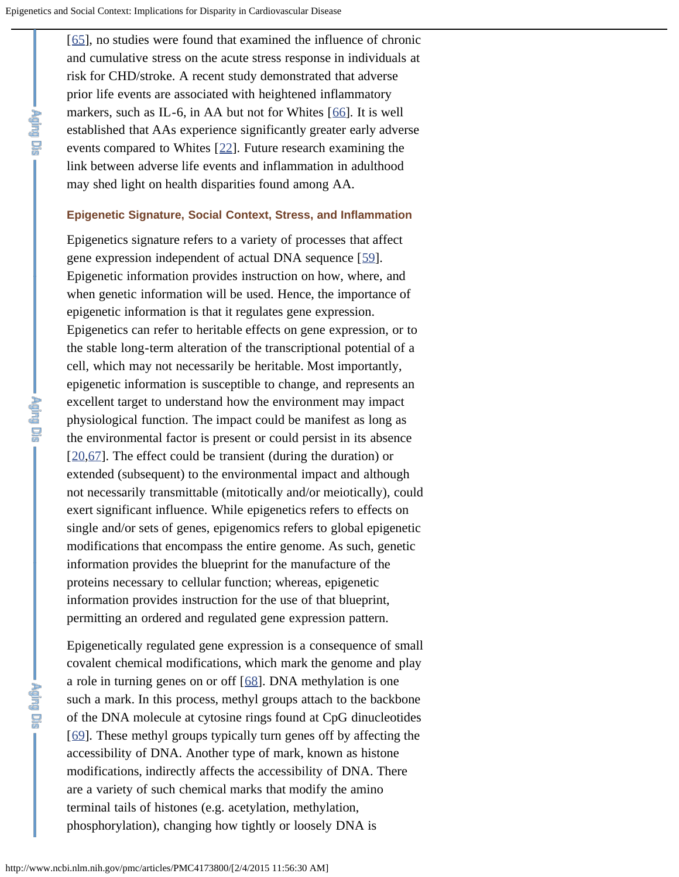[[65\]](#page-18-5), no studies were found that examined the influence of chronic and cumulative stress on the acute stress response in individuals at risk for CHD/stroke. A recent study demonstrated that adverse prior life events are associated with heightened inflammatory markers, such as IL-6, in AA but not for Whites [[66\]](#page-18-6). It is well established that AAs experience significantly greater early adverse events compared to Whites [[22\]](#page-14-2). Future research examining the link between adverse life events and inflammation in adulthood may shed light on health disparities found among AA.

### **Epigenetic Signature, Social Context, Stress, and Inflammation**

Epigenetics signature refers to a variety of processes that affect gene expression independent of actual DNA sequence [[59\]](#page-17-7). Epigenetic information provides instruction on how, where, and when genetic information will be used. Hence, the importance of epigenetic information is that it regulates gene expression. Epigenetics can refer to heritable effects on gene expression, or to the stable long-term alteration of the transcriptional potential of a cell, which may not necessarily be heritable. Most importantly, epigenetic information is susceptible to change, and represents an excellent target to understand how the environment may impact physiological function. The impact could be manifest as long as the environmental factor is present or could persist in its absence [[20,](#page-14-0)[67\]](#page-18-7). The effect could be transient (during the duration) or extended (subsequent) to the environmental impact and although not necessarily transmittable (mitotically and/or meiotically), could exert significant influence. While epigenetics refers to effects on single and/or sets of genes, epigenomics refers to global epigenetic modifications that encompass the entire genome. As such, genetic information provides the blueprint for the manufacture of the proteins necessary to cellular function; whereas, epigenetic information provides instruction for the use of that blueprint, permitting an ordered and regulated gene expression pattern.

Epigenetically regulated gene expression is a consequence of small covalent chemical modifications, which mark the genome and play a role in turning genes on or off [[68\]](#page-18-8). DNA methylation is one such a mark. In this process, methyl groups attach to the backbone of the DNA molecule at cytosine rings found at CpG dinucleotides [[69\]](#page-18-9). These methyl groups typically turn genes off by affecting the accessibility of DNA. Another type of mark, known as histone modifications, indirectly affects the accessibility of DNA. There are a variety of such chemical marks that modify the amino terminal tails of histones (e.g. acetylation, methylation, phosphorylation), changing how tightly or loosely DNA is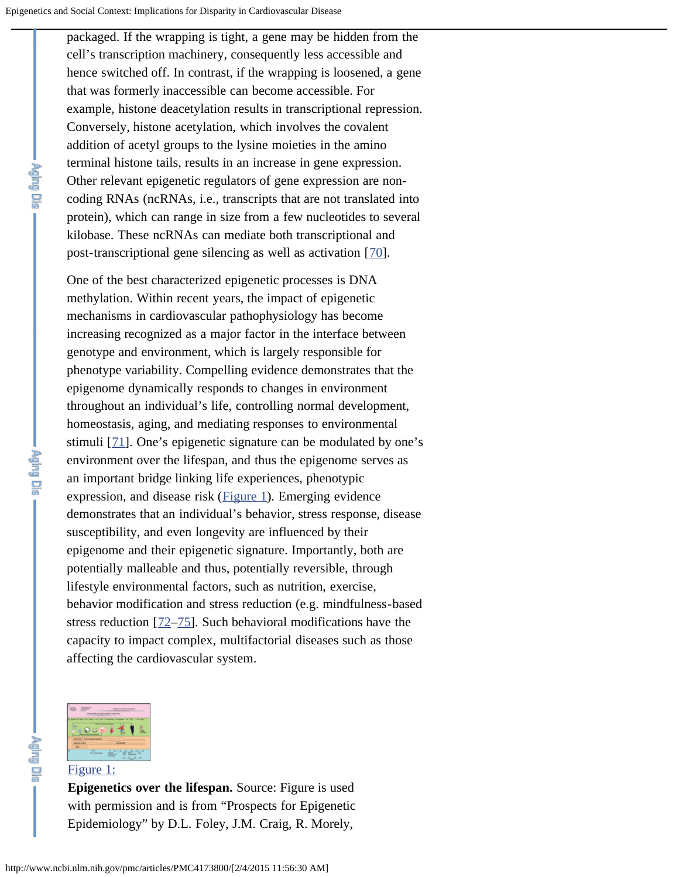packaged. If the wrapping is tight, a gene may be hidden from the cell's transcription machinery, consequently less accessible and hence switched off. In contrast, if the wrapping is loosened, a gene that was formerly inaccessible can become accessible. For example, histone deacetylation results in transcriptional repression. Conversely, histone acetylation, which involves the covalent addition of acetyl groups to the lysine moieties in the amino terminal histone tails, results in an increase in gene expression. Other relevant epigenetic regulators of gene expression are noncoding RNAs (ncRNAs, i.e., transcripts that are not translated into protein), which can range in size from a few nucleotides to several kilobase. These ncRNAs can mediate both transcriptional and post-transcriptional gene silencing as well as activation [[70](#page-19-0)].

One of the best characterized epigenetic processes is DNA methylation. Within recent years, the impact of epigenetic mechanisms in cardiovascular pathophysiology has become increasing recognized as a major factor in the interface between genotype and environment, which is largely responsible for phenotype variability. Compelling evidence demonstrates that the epigenome dynamically responds to changes in environment throughout an individual's life, controlling normal development, homeostasis, aging, and mediating responses to environmental stimuli [[71\]](#page-19-1). One's epigenetic signature can be modulated by one's environment over the lifespan, and thus the epigenome serves as an important bridge linking life experiences, phenotypic expression, and disease risk ([Figure 1\)](http://www.ncbi.nlm.nih.gov/pmc/articles/PMC4173800/figure/f1-ad-5-5-346/). Emerging evidence demonstrates that an individual's behavior, stress response, disease susceptibility, and even longevity are influenced by their epigenome and their epigenetic signature. Importantly, both are potentially malleable and thus, potentially reversible, through lifestyle environmental factors, such as nutrition, exercise, behavior modification and stress reduction (e.g. mindfulness-based stress reduction [[72](#page-19-2)[–75\]](#page-19-3). Such behavioral modifications have the capacity to impact complex, multifactorial diseases such as those affecting the cardiovascular system.



### [Figure 1:](http://www.ncbi.nlm.nih.gov/pmc/articles/PMC4173800/figure/f1-ad-5-5-346/)

**Epigenetics over the lifespan.** Source: Figure is used with permission and is from "Prospects for Epigenetic Epidemiology" by D.L. Foley, J.M. Craig, R. Morely,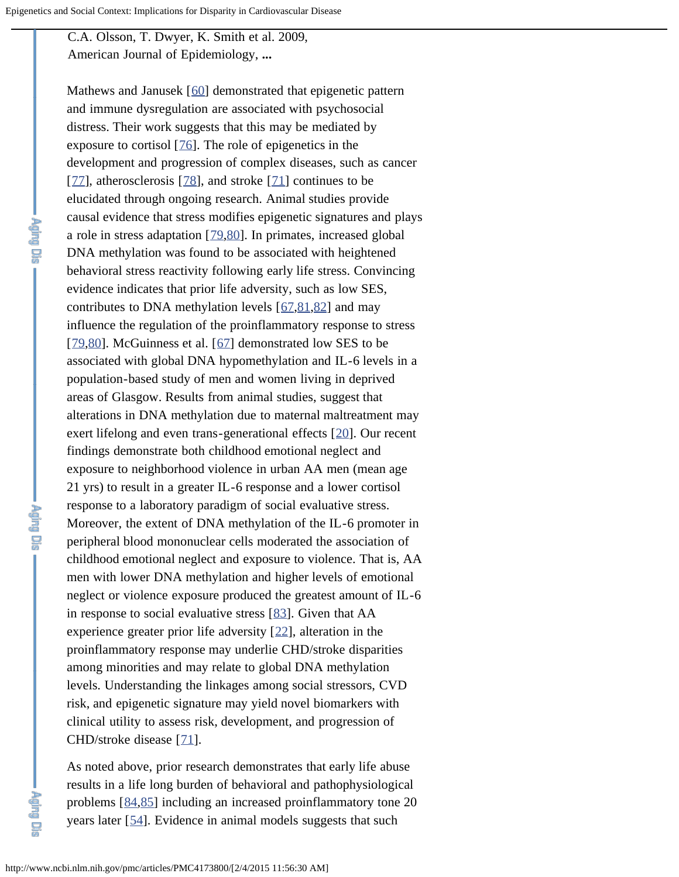C.A. Olsson, T. Dwyer, K. Smith et al. 2009, American Journal of Epidemiology, **...**

Mathews and Janusek [[60\]](#page-18-0) demonstrated that epigenetic pattern and immune dysregulation are associated with psychosocial distress. Their work suggests that this may be mediated by exposure to cortisol  $[76]$  $[76]$ . The role of epigenetics in the development and progression of complex diseases, such as cancer [[77\]](#page-19-5), atherosclerosis [[78](#page-19-6)], and stroke [[71](#page-19-1)] continues to be elucidated through ongoing research. Animal studies provide causal evidence that stress modifies epigenetic signatures and plays a role in stress adaptation [[79,](#page-19-7)[80\]](#page-20-0). In primates, increased global DNA methylation was found to be associated with heightened behavioral stress reactivity following early life stress. Convincing evidence indicates that prior life adversity, such as low SES, contributes to DNA methylation levels [[67](#page-18-7)[,81,](#page-20-1)[82\]](#page-20-2) and may influence the regulation of the proinflammatory response to stress [[79,](#page-19-7)[80\]](#page-20-0). McGuinness et al. [[67\]](#page-18-7) demonstrated low SES to be associated with global DNA hypomethylation and IL-6 levels in a population-based study of men and women living in deprived areas of Glasgow. Results from animal studies, suggest that alterations in DNA methylation due to maternal maltreatment may exert lifelong and even trans-generational effects [[20\]](#page-14-0). Our recent findings demonstrate both childhood emotional neglect and exposure to neighborhood violence in urban AA men (mean age 21 yrs) to result in a greater IL-6 response and a lower cortisol response to a laboratory paradigm of social evaluative stress. Moreover, the extent of DNA methylation of the IL-6 promoter in peripheral blood mononuclear cells moderated the association of childhood emotional neglect and exposure to violence. That is, AA men with lower DNA methylation and higher levels of emotional neglect or violence exposure produced the greatest amount of IL-6 in response to social evaluative stress [[83\]](#page-20-3). Given that AA experience greater prior life adversity [[22](#page-14-2)], alteration in the proinflammatory response may underlie CHD/stroke disparities among minorities and may relate to global DNA methylation levels. Understanding the linkages among social stressors, CVD risk, and epigenetic signature may yield novel biomarkers with clinical utility to assess risk, development, and progression of CHD/stroke disease [[71\]](#page-19-1).

As noted above, prior research demonstrates that early life abuse results in a life long burden of behavioral and pathophysiological problems [[84,](#page-20-4)[85\]](#page-20-5) including an increased proinflammatory tone 20 years later [[54](#page-17-2)]. Evidence in animal models suggests that such

**Mulp Dia**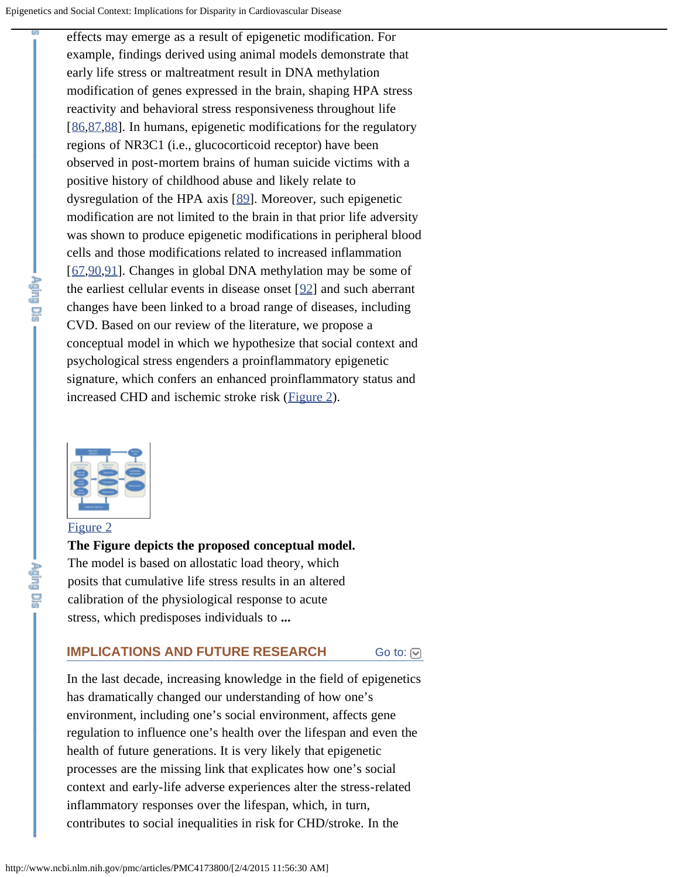effects may emerge as a result of epigenetic modification. For example, findings derived using animal models demonstrate that early life stress or maltreatment result in DNA methylation modification of genes expressed in the brain, shaping HPA stress reactivity and behavioral stress responsiveness throughout life [[86,](#page-20-6)[87,](#page-20-7)[88](#page-20-8)]. In humans, epigenetic modifications for the regulatory regions of NR3C1 (i.e., glucocorticoid receptor) have been observed in post-mortem brains of human suicide victims with a positive history of childhood abuse and likely relate to dysregulation of the HPA axis [[89](#page-20-9)]. Moreover, such epigenetic modification are not limited to the brain in that prior life adversity was shown to produce epigenetic modifications in peripheral blood cells and those modifications related to increased inflammation [[67,](#page-18-7)[90,](#page-21-0)[91](#page-21-1)]. Changes in global DNA methylation may be some of the earliest cellular events in disease onset [[92](#page-21-2)] and such aberrant changes have been linked to a broad range of diseases, including CVD. Based on our review of the literature, we propose a conceptual model in which we hypothesize that social context and psychological stress engenders a proinflammatory epigenetic signature, which confers an enhanced proinflammatory status and increased CHD and ischemic stroke risk ([Figure 2\)](http://www.ncbi.nlm.nih.gov/pmc/articles/PMC4173800/figure/f2-ad-5-5-346/).



## [Figure 2](http://www.ncbi.nlm.nih.gov/pmc/articles/PMC4173800/figure/f2-ad-5-5-346/)

i Lie

**The Figure depicts the proposed conceptual model.** The model is based on allostatic load theory, which posits that cumulative life stress results in an altered calibration of the physiological response to acute stress, which predisposes individuals to **...**

#### [Go to:](#page-1-0)  $\lbrack \heartsuit \rbrack$ **IMPLICATIONS AND FUTURE RESEARCH**

In the last decade, increasing knowledge in the field of epigenetics has dramatically changed our understanding of how one's environment, including one's social environment, affects gene regulation to influence one's health over the lifespan and even the health of future generations. It is very likely that epigenetic processes are the missing link that explicates how one's social context and early-life adverse experiences alter the stress-related inflammatory responses over the lifespan, which, in turn, contributes to social inequalities in risk for CHD/stroke. In the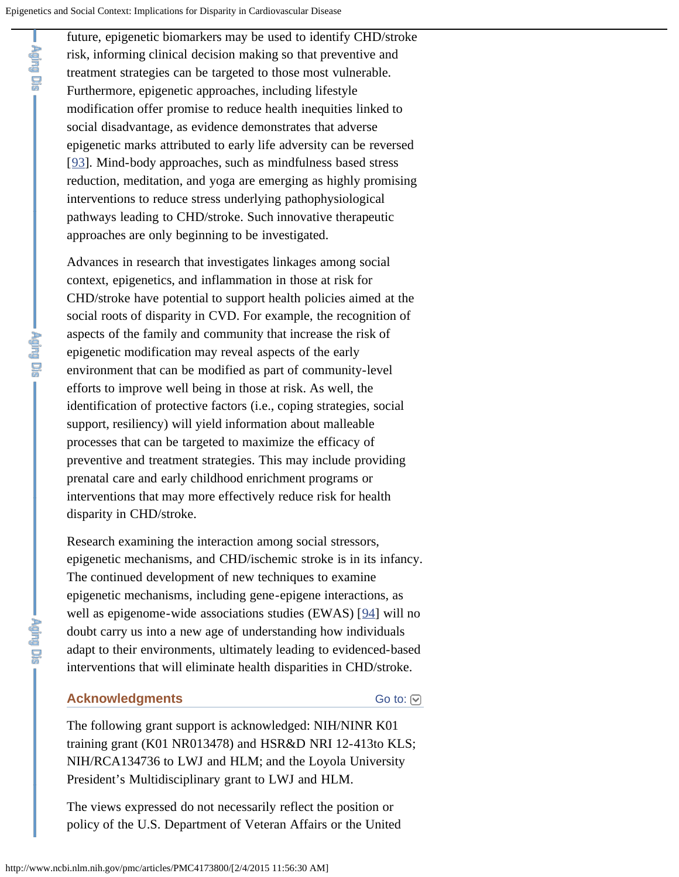future, epigenetic biomarkers may be used to identify CHD/stroke risk, informing clinical decision making so that preventive and treatment strategies can be targeted to those most vulnerable. Furthermore, epigenetic approaches, including lifestyle modification offer promise to reduce health inequities linked to social disadvantage, as evidence demonstrates that adverse epigenetic marks attributed to early life adversity can be reversed [[93\]](#page-21-3). Mind-body approaches, such as mindfulness based stress reduction, meditation, and yoga are emerging as highly promising interventions to reduce stress underlying pathophysiological pathways leading to CHD/stroke. Such innovative therapeutic approaches are only beginning to be investigated.

Advances in research that investigates linkages among social context, epigenetics, and inflammation in those at risk for CHD/stroke have potential to support health policies aimed at the social roots of disparity in CVD. For example, the recognition of aspects of the family and community that increase the risk of epigenetic modification may reveal aspects of the early environment that can be modified as part of community-level efforts to improve well being in those at risk. As well, the identification of protective factors (i.e., coping strategies, social support, resiliency) will yield information about malleable processes that can be targeted to maximize the efficacy of preventive and treatment strategies. This may include providing prenatal care and early childhood enrichment programs or interventions that may more effectively reduce risk for health disparity in CHD/stroke.

Research examining the interaction among social stressors, epigenetic mechanisms, and CHD/ischemic stroke is in its infancy. The continued development of new techniques to examine epigenetic mechanisms, including gene-epigene interactions, as well as epigenome-wide associations studies (EWAS) [[94\]](#page-21-4) will no doubt carry us into a new age of understanding how individuals adapt to their environments, ultimately leading to evidenced-based interventions that will eliminate health disparities in CHD/stroke.

### **Acknowledgments**

[Go to:](#page-1-0) **⊙** 

The following grant support is acknowledged: NIH/NINR K01 training grant (K01 NR013478) and HSR&D NRI 12-413to KLS; NIH/RCA134736 to LWJ and HLM; and the Loyola University President's Multidisciplinary grant to LWJ and HLM.

The views expressed do not necessarily reflect the position or policy of the U.S. Department of Veteran Affairs or the United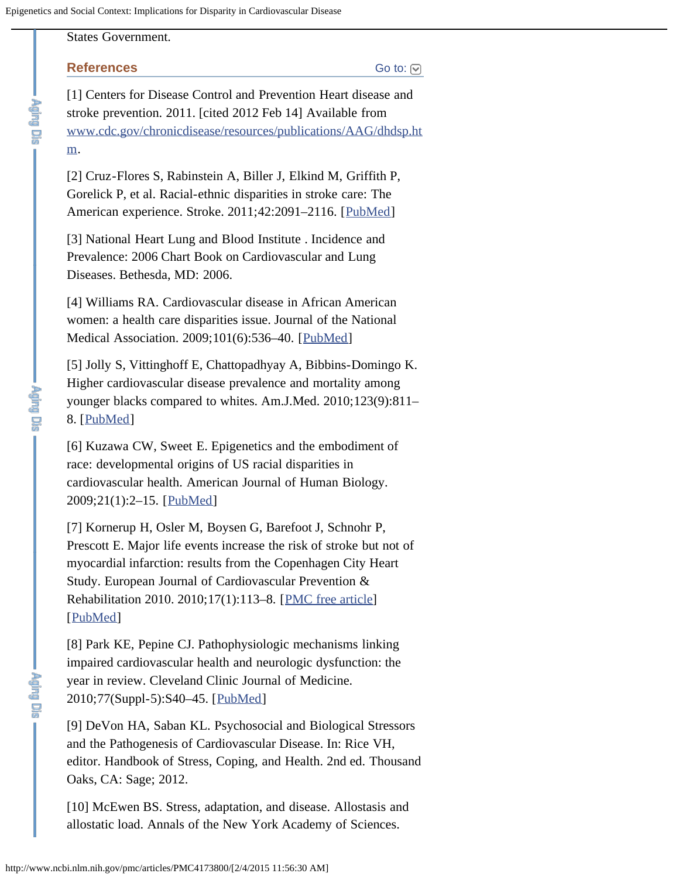# States Government.

### **References**

[Go to:](#page-1-0) [∇]

<span id="page-12-0"></span>[1] Centers for Disease Control and Prevention Heart disease and stroke prevention. 2011. [cited 2012 Feb 14] Available from [www.cdc.gov/chronicdisease/resources/publications/AAG/dhdsp.ht](http://www.cdc.gov/chronicdisease/resources/publications/AAG/dhdsp.htm) [m.](http://www.cdc.gov/chronicdisease/resources/publications/AAG/dhdsp.htm)

<span id="page-12-1"></span>[2] Cruz-Flores S, Rabinstein A, Biller J, Elkind M, Griffith P, Gorelick P, et al. Racial-ethnic disparities in stroke care: The American experience. Stroke. 2011;42:2091-2116. [[PubMed\]](http://www.ncbi.nlm.nih.gov/pubmed/21617147)

<span id="page-12-2"></span>[3] National Heart Lung and Blood Institute . Incidence and Prevalence: 2006 Chart Book on Cardiovascular and Lung Diseases. Bethesda, MD: 2006.

<span id="page-12-3"></span>[4] Williams RA. Cardiovascular disease in African American women: a health care disparities issue. Journal of the National Medical Association. 2009;101(6):536–40. [[PubMed](http://www.ncbi.nlm.nih.gov/pubmed/19585921)]

<span id="page-12-4"></span>[5] Jolly S, Vittinghoff E, Chattopadhyay A, Bibbins-Domingo K. Higher cardiovascular disease prevalence and mortality among younger blacks compared to whites. Am.J.Med. 2010;123(9):811– 8. [[PubMed\]](http://www.ncbi.nlm.nih.gov/pubmed/20800150)

<span id="page-12-5"></span>[6] Kuzawa CW, Sweet E. Epigenetics and the embodiment of race: developmental origins of US racial disparities in cardiovascular health. American Journal of Human Biology. 2009;21(1):2–15. [[PubMed\]](http://www.ncbi.nlm.nih.gov/pubmed/18925573)

<span id="page-12-6"></span>[7] Kornerup H, Osler M, Boysen G, Barefoot J, Schnohr P, Prescott E. Major life events increase the risk of stroke but not of myocardial infarction: results from the Copenhagen City Heart Study. European Journal of Cardiovascular Prevention & Rehabilitation 2010. 2010;17(1):113–8. [[PMC free article](http://www.ncbi.nlm.nih.gov/pmc/articles/PMC3634577/)] [[PubMed\]](http://www.ncbi.nlm.nih.gov/pubmed/20038841)

<span id="page-12-7"></span>[8] Park KE, Pepine CJ. Pathophysiologic mechanisms linking impaired cardiovascular health and neurologic dysfunction: the year in review. Cleveland Clinic Journal of Medicine. 2010;77(Suppl-5):S40–45. [[PubMed\]](http://www.ncbi.nlm.nih.gov/pubmed/20622075)

<span id="page-12-8"></span>[9] DeVon HA, Saban KL. Psychosocial and Biological Stressors and the Pathogenesis of Cardiovascular Disease. In: Rice VH, editor. Handbook of Stress, Coping, and Health. 2nd ed. Thousand Oaks, CA: Sage; 2012.

[10] McEwen BS. Stress, adaptation, and disease. Allostasis and allostatic load. Annals of the New York Academy of Sciences.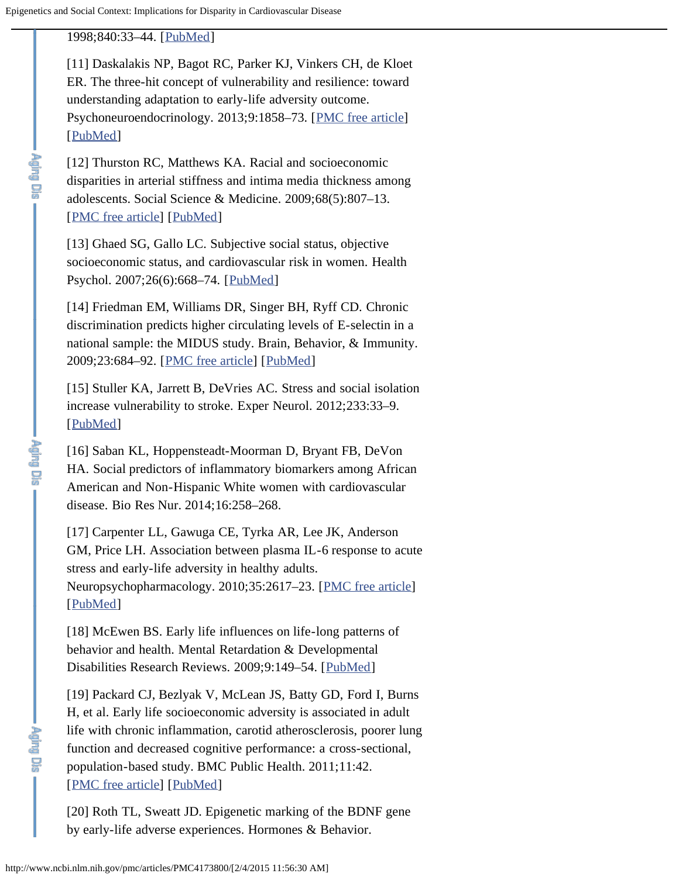<span id="page-13-0"></span>1998;840:33–44. [[PubMed\]](http://www.ncbi.nlm.nih.gov/pubmed/9629234)

<span id="page-13-1"></span>[11] Daskalakis NP, Bagot RC, Parker KJ, Vinkers CH, de Kloet ER. The three-hit concept of vulnerability and resilience: toward understanding adaptation to early-life adversity outcome. Psychoneuroendocrinology. 2013;9:1858–73. [[PMC free article](http://www.ncbi.nlm.nih.gov/pmc/articles/PMC3773020/)] [[PubMed\]](http://www.ncbi.nlm.nih.gov/pubmed/23838101)

<span id="page-13-2"></span>[12] Thurston RC, Matthews KA. Racial and socioeconomic disparities in arterial stiffness and intima media thickness among adolescents. Social Science & Medicine. 2009;68(5):807–13. [[PMC free article\]](http://www.ncbi.nlm.nih.gov/pmc/articles/PMC2887751/) [[PubMed\]](http://www.ncbi.nlm.nih.gov/pubmed/19147264)

[13] Ghaed SG, Gallo LC. Subjective social status, objective socioeconomic status, and cardiovascular risk in women. Health Psychol. 2007;26(6):668–74. [[PubMed\]](http://www.ncbi.nlm.nih.gov/pubmed/18020837)

[14] Friedman EM, Williams DR, Singer BH, Ryff CD. Chronic discrimination predicts higher circulating levels of E-selectin in a national sample: the MIDUS study. Brain, Behavior, & Immunity. 2009;23:684–92. [[PMC free article](http://www.ncbi.nlm.nih.gov/pmc/articles/PMC2745951/)] [[PubMed\]](http://www.ncbi.nlm.nih.gov/pubmed/19171188)

[15] Stuller KA, Jarrett B, DeVries AC. Stress and social isolation increase vulnerability to stroke. Exper Neurol. 2012;233:33–9. [[PubMed\]](http://www.ncbi.nlm.nih.gov/pubmed/21281636)

<span id="page-13-3"></span>[16] Saban KL, Hoppensteadt-Moorman D, Bryant FB, DeVon HA. Social predictors of inflammatory biomarkers among African American and Non-Hispanic White women with cardiovascular disease. Bio Res Nur. 2014;16:258–268.

<span id="page-13-4"></span>[17] Carpenter LL, Gawuga CE, Tyrka AR, Lee JK, Anderson GM, Price LH. Association between plasma IL-6 response to acute stress and early-life adversity in healthy adults. Neuropsychopharmacology. 2010;35:2617–23. [[PMC free article\]](http://www.ncbi.nlm.nih.gov/pmc/articles/PMC2978751/) [[PubMed\]](http://www.ncbi.nlm.nih.gov/pubmed/20881945)

[18] McEwen BS. Early life influences on life-long patterns of behavior and health. Mental Retardation & Developmental Disabilities Research Reviews. 2009;9:149–54. [[PubMed\]](http://www.ncbi.nlm.nih.gov/pubmed/12953293)

<span id="page-13-5"></span>[19] Packard CJ, Bezlyak V, McLean JS, Batty GD, Ford I, Burns H, et al. Early life socioeconomic adversity is associated in adult life with chronic inflammation, carotid atherosclerosis, poorer lung function and decreased cognitive performance: a cross-sectional, population-based study. BMC Public Health. 2011;11:42. [[PMC free article\]](http://www.ncbi.nlm.nih.gov/pmc/articles/PMC3032683/) [[PubMed\]](http://www.ncbi.nlm.nih.gov/pubmed/21241479)

[20] Roth TL, Sweatt JD. Epigenetic marking of the BDNF gene by early-life adverse experiences. Hormones & Behavior.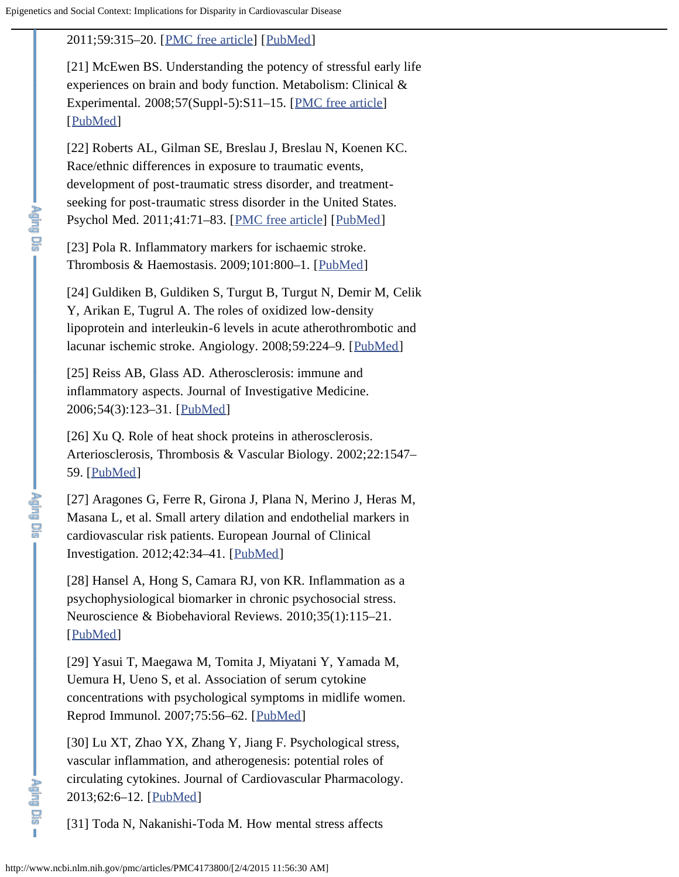# <span id="page-14-0"></span>2011;59:315–20. [[PMC free article](http://www.ncbi.nlm.nih.gov/pmc/articles/PMC2948595/)] [[PubMed\]](http://www.ncbi.nlm.nih.gov/pubmed/20483357)

<span id="page-14-1"></span>[21] McEwen BS. Understanding the potency of stressful early life experiences on brain and body function. Metabolism: Clinical & Experimental. 2008;57(Suppl-5):S11–15. [[PMC free article](http://www.ncbi.nlm.nih.gov/pmc/articles/PMC2567059/)] [[PubMed\]](http://www.ncbi.nlm.nih.gov/pubmed/18803958)

<span id="page-14-2"></span>[22] Roberts AL, Gilman SE, Breslau J, Breslau N, Koenen KC. Race/ethnic differences in exposure to traumatic events, development of post-traumatic stress disorder, and treatmentseeking for post-traumatic stress disorder in the United States. Psychol Med. 2011;41:71–83. [[PMC free article](http://www.ncbi.nlm.nih.gov/pmc/articles/PMC3097040/)] [[PubMed\]](http://www.ncbi.nlm.nih.gov/pubmed/20346193)

<span id="page-14-3"></span>[23] Pola R. Inflammatory markers for ischaemic stroke. Thrombosis & Haemostasis. 2009;101:800–1. [[PubMed](http://www.ncbi.nlm.nih.gov/pubmed/19404529)]

<span id="page-14-4"></span>[24] Guldiken B, Guldiken S, Turgut B, Turgut N, Demir M, Celik Y, Arikan E, Tugrul A. The roles of oxidized low-density lipoprotein and interleukin-6 levels in acute atherothrombotic and lacunar ischemic stroke. Angiology. 2008;59:224–9. [[PubMed\]](http://www.ncbi.nlm.nih.gov/pubmed/18388043)

<span id="page-14-5"></span>[25] Reiss AB, Glass AD. Atherosclerosis: immune and inflammatory aspects. Journal of Investigative Medicine. 2006;54(3):123–31. [[PubMed\]](http://www.ncbi.nlm.nih.gov/pubmed/16948395)

<span id="page-14-6"></span>[26] Xu Q. Role of heat shock proteins in atherosclerosis. Arteriosclerosis, Thrombosis & Vascular Biology. 2002;22:1547– 59. [[PubMed](http://www.ncbi.nlm.nih.gov/pubmed/12377729)]

<span id="page-14-7"></span>[27] Aragones G, Ferre R, Girona J, Plana N, Merino J, Heras M, Masana L, et al. Small artery dilation and endothelial markers in cardiovascular risk patients. European Journal of Clinical Investigation. 2012;42:34–41. [[PubMed\]](http://www.ncbi.nlm.nih.gov/pubmed/21631467)

<span id="page-14-8"></span>[28] Hansel A, Hong S, Camara RJ, von KR. Inflammation as a psychophysiological biomarker in chronic psychosocial stress. Neuroscience & Biobehavioral Reviews. 2010;35(1):115–21. [[PubMed\]](http://www.ncbi.nlm.nih.gov/pubmed/20026349)

<span id="page-14-9"></span>[29] Yasui T, Maegawa M, Tomita J, Miyatani Y, Yamada M, Uemura H, Ueno S, et al. Association of serum cytokine concentrations with psychological symptoms in midlife women. Reprod Immunol. 2007;75:56–62. [[PubMed\]](http://www.ncbi.nlm.nih.gov/pubmed/17412426)

[30] Lu XT, Zhao YX, Zhang Y, Jiang F. Psychological stress, vascular inflammation, and atherogenesis: potential roles of circulating cytokines. Journal of Cardiovascular Pharmacology. 2013;62:6–12. [[PubMed\]](http://www.ncbi.nlm.nih.gov/pubmed/23318990)

[31] Toda N, Nakanishi-Toda M. How mental stress affects

<span id="page-14-10"></span>ér<br>Papan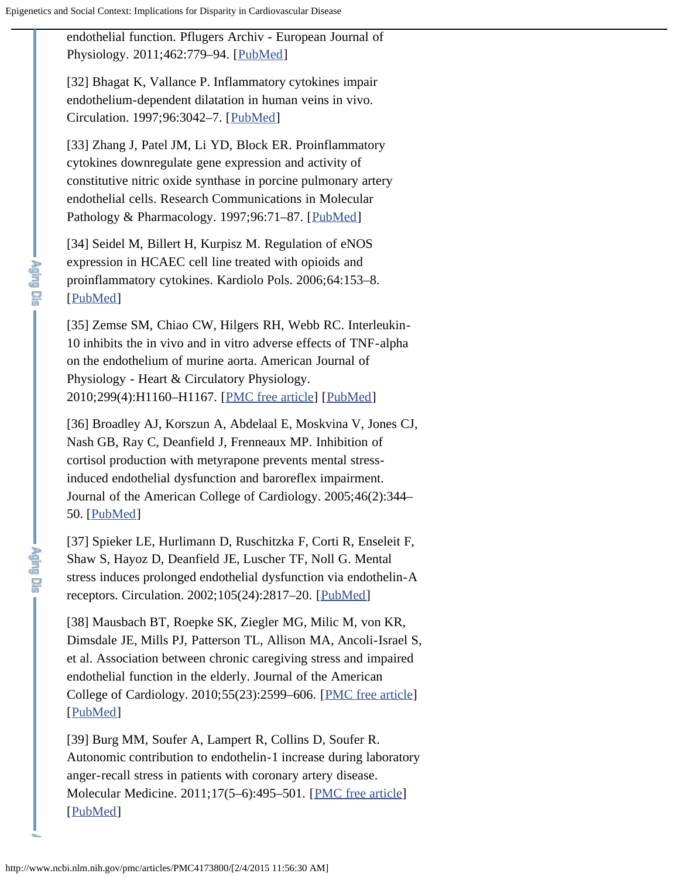<span id="page-15-0"></span>endothelial function. Pflugers Archiv - European Journal of Physiology. 2011;462:779–94. [[PubMed\]](http://www.ncbi.nlm.nih.gov/pubmed/21947555)

<span id="page-15-1"></span>[32] Bhagat K, Vallance P. Inflammatory cytokines impair endothelium-dependent dilatation in human veins in vivo. Circulation. 1997;96:3042–7. [[PubMed\]](http://www.ncbi.nlm.nih.gov/pubmed/9386173)

<span id="page-15-2"></span>[33] Zhang J, Patel JM, Li YD, Block ER. Proinflammatory cytokines downregulate gene expression and activity of constitutive nitric oxide synthase in porcine pulmonary artery endothelial cells. Research Communications in Molecular Pathology & Pharmacology. 1997;96:71-87. [[PubMed](http://www.ncbi.nlm.nih.gov/pubmed/9178369)]

<span id="page-15-3"></span>[34] Seidel M, Billert H, Kurpisz M. Regulation of eNOS expression in HCAEC cell line treated with opioids and proinflammatory cytokines. Kardiolo Pols. 2006;64:153–8. [[PubMed\]](http://www.ncbi.nlm.nih.gov/pubmed/16502366)

<span id="page-15-4"></span>[35] Zemse SM, Chiao CW, Hilgers RH, Webb RC. Interleukin-10 inhibits the in vivo and in vitro adverse effects of TNF-alpha on the endothelium of murine aorta. American Journal of Physiology - Heart & Circulatory Physiology. 2010;299(4):H1160–H1167. [[PMC free article\]](http://www.ncbi.nlm.nih.gov/pmc/articles/PMC2957353/) [[PubMed\]](http://www.ncbi.nlm.nih.gov/pubmed/20639218)

<span id="page-15-5"></span>[36] Broadley AJ, Korszun A, Abdelaal E, Moskvina V, Jones CJ, Nash GB, Ray C, Deanfield J, Frenneaux MP. Inhibition of cortisol production with metyrapone prevents mental stressinduced endothelial dysfunction and baroreflex impairment. Journal of the American College of Cardiology. 2005;46(2):344– 50. [[PubMed](http://www.ncbi.nlm.nih.gov/pubmed/16022966)]

<span id="page-15-6"></span>[37] Spieker LE, Hurlimann D, Ruschitzka F, Corti R, Enseleit F, Shaw S, Hayoz D, Deanfield JE, Luscher TF, Noll G. Mental stress induces prolonged endothelial dysfunction via endothelin-A receptors. Circulation. 2002;105(24):2817–20. [[PubMed\]](http://www.ncbi.nlm.nih.gov/pubmed/12070106)

<span id="page-15-7"></span>[38] Mausbach BT, Roepke SK, Ziegler MG, Milic M, von KR, Dimsdale JE, Mills PJ, Patterson TL, Allison MA, Ancoli-Israel S, et al. Association between chronic caregiving stress and impaired endothelial function in the elderly. Journal of the American College of Cardiology. 2010;55(23):2599–606. [[PMC free article](http://www.ncbi.nlm.nih.gov/pmc/articles/PMC2892624/)] [[PubMed\]](http://www.ncbi.nlm.nih.gov/pubmed/20513601)

<span id="page-15-8"></span>[39] Burg MM, Soufer A, Lampert R, Collins D, Soufer R. Autonomic contribution to endothelin-1 increase during laboratory anger-recall stress in patients with coronary artery disease. Molecular Medicine. 2011;17(5–6):495–501. [[PMC free article\]](http://www.ncbi.nlm.nih.gov/pmc/articles/PMC3105151/) [[PubMed\]](http://www.ncbi.nlm.nih.gov/pubmed/21267513)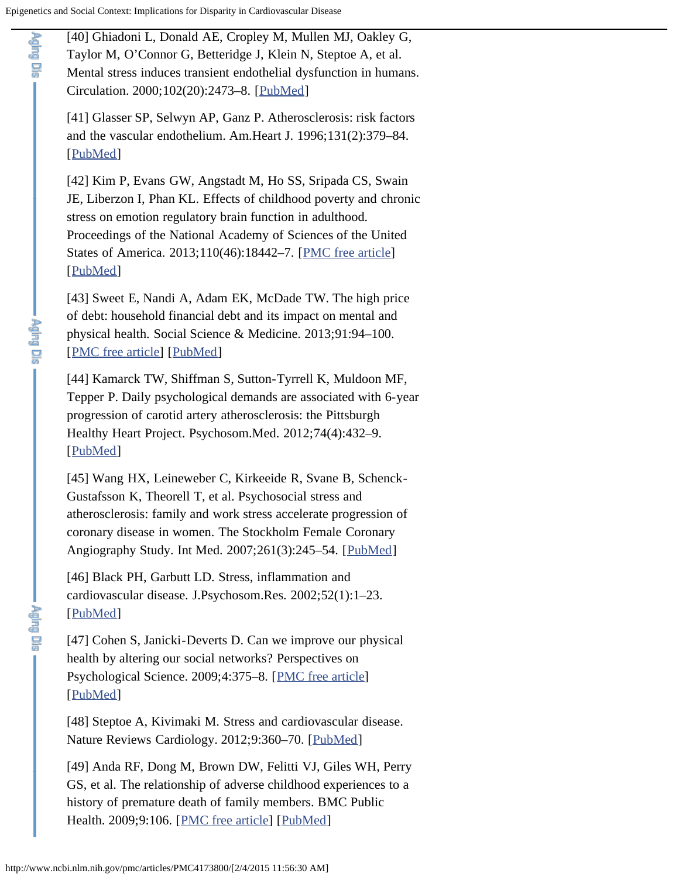<span id="page-16-0"></span>**Tele** Dia

<span id="page-16-4"></span><span id="page-16-3"></span>**Aging** Die

<span id="page-16-7"></span><span id="page-16-6"></span>**Telesia** 

[40] Ghiadoni L, Donald AE, Cropley M, Mullen MJ, Oakley G, Taylor M, O'Connor G, Betteridge J, Klein N, Steptoe A, et al. Mental stress induces transient endothelial dysfunction in humans. Circulation. 2000;102(20):2473–8. [[PubMed\]](http://www.ncbi.nlm.nih.gov/pubmed/11076819)

<span id="page-16-1"></span>[41] Glasser SP, Selwyn AP, Ganz P. Atherosclerosis: risk factors and the vascular endothelium. Am.Heart J. 1996;131(2):379–84. [[PubMed\]](http://www.ncbi.nlm.nih.gov/pubmed/8579037)

<span id="page-16-2"></span>[42] Kim P, Evans GW, Angstadt M, Ho SS, Sripada CS, Swain JE, Liberzon I, Phan KL. Effects of childhood poverty and chronic stress on emotion regulatory brain function in adulthood. Proceedings of the National Academy of Sciences of the United States of America. 2013;110(46):18442–7. [[PMC free article](http://www.ncbi.nlm.nih.gov/pmc/articles/PMC3831978/)] [[PubMed\]](http://www.ncbi.nlm.nih.gov/pubmed/24145409)

[43] Sweet E, Nandi A, Adam EK, McDade TW. The high price of debt: household financial debt and its impact on mental and physical health. Social Science & Medicine. 2013;91:94–100. [[PMC free article\]](http://www.ncbi.nlm.nih.gov/pmc/articles/PMC3718010/) [[PubMed\]](http://www.ncbi.nlm.nih.gov/pubmed/23849243)

[44] Kamarck TW, Shiffman S, Sutton-Tyrrell K, Muldoon MF, Tepper P. Daily psychological demands are associated with 6-year progression of carotid artery atherosclerosis: the Pittsburgh Healthy Heart Project. Psychosom.Med. 2012;74(4):432–9. [[PubMed\]](http://www.ncbi.nlm.nih.gov/pubmed/22582340)

<span id="page-16-5"></span>[45] Wang HX, Leineweber C, Kirkeeide R, Svane B, Schenck-Gustafsson K, Theorell T, et al. Psychosocial stress and atherosclerosis: family and work stress accelerate progression of coronary disease in women. The Stockholm Female Coronary Angiography Study. Int Med. 2007;261(3):245–54. [[PubMed\]](http://www.ncbi.nlm.nih.gov/pubmed/17305647)

[46] Black PH, Garbutt LD. Stress, inflammation and cardiovascular disease. J.Psychosom.Res. 2002;52(1):1–23. [[PubMed\]](http://www.ncbi.nlm.nih.gov/pubmed/11801260)

[47] Cohen S, Janicki-Deverts D. Can we improve our physical health by altering our social networks? Perspectives on Psychological Science. 2009;4:375–8. [[PMC free article\]](http://www.ncbi.nlm.nih.gov/pmc/articles/PMC2744289/) [[PubMed\]](http://www.ncbi.nlm.nih.gov/pubmed/20161087)

<span id="page-16-8"></span>[48] Steptoe A, Kivimaki M. Stress and cardiovascular disease. Nature Reviews Cardiology. 2012;9:360–70. [[PubMed\]](http://www.ncbi.nlm.nih.gov/pubmed/22473079)

<span id="page-16-9"></span>[49] Anda RF, Dong M, Brown DW, Felitti VJ, Giles WH, Perry GS, et al. The relationship of adverse childhood experiences to a history of premature death of family members. BMC Public Health. 2009;9:106. [[PMC free article](http://www.ncbi.nlm.nih.gov/pmc/articles/PMC2674602/)] [[PubMed\]](http://www.ncbi.nlm.nih.gov/pubmed/19371414)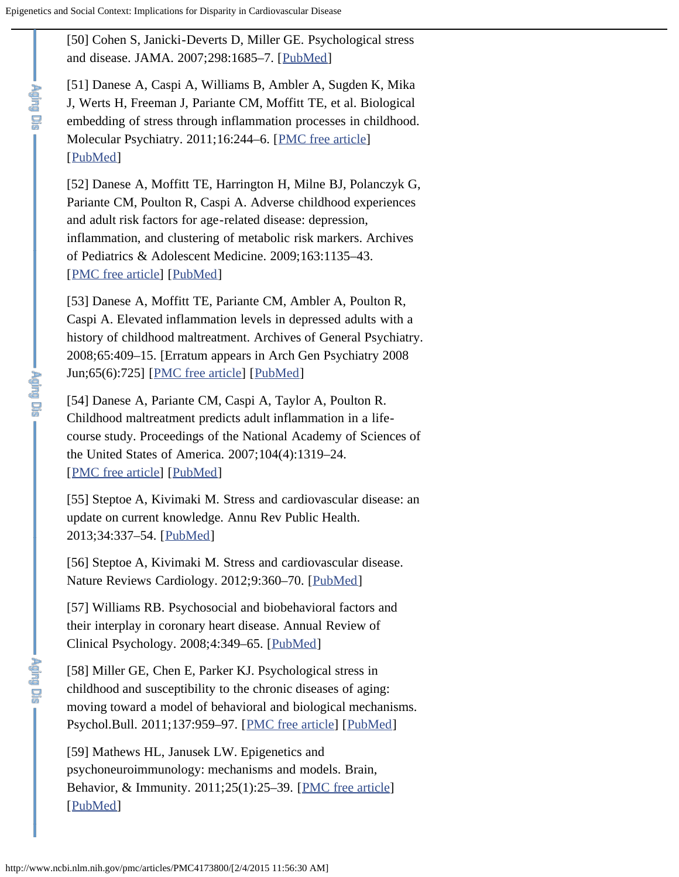<span id="page-17-1"></span><span id="page-17-0"></span>**Product** 

<span id="page-17-2"></span>**Proprieta** 

<span id="page-17-6"></span>**Aghel Dis** 

[50] Cohen S, Janicki-Deverts D, Miller GE. Psychological stress and disease. JAMA. 2007;298:1685–7. [[PubMed\]](http://www.ncbi.nlm.nih.gov/pubmed/17925521)

[51] Danese A, Caspi A, Williams B, Ambler A, Sugden K, Mika J, Werts H, Freeman J, Pariante CM, Moffitt TE, et al. Biological embedding of stress through inflammation processes in childhood. Molecular Psychiatry. 2011;16:244–6. [[PMC free article](http://www.ncbi.nlm.nih.gov/pmc/articles/PMC4212809/)] [[PubMed\]](http://www.ncbi.nlm.nih.gov/pubmed/20157309)

[52] Danese A, Moffitt TE, Harrington H, Milne BJ, Polanczyk G, Pariante CM, Poulton R, Caspi A. Adverse childhood experiences and adult risk factors for age-related disease: depression, inflammation, and clustering of metabolic risk markers. Archives of Pediatrics & Adolescent Medicine. 2009;163:1135–43. [[PMC free article\]](http://www.ncbi.nlm.nih.gov/pmc/articles/PMC3560401/) [[PubMed\]](http://www.ncbi.nlm.nih.gov/pubmed/19996051)

[53] Danese A, Moffitt TE, Pariante CM, Ambler A, Poulton R, Caspi A. Elevated inflammation levels in depressed adults with a history of childhood maltreatment. Archives of General Psychiatry. 2008;65:409–15. [Erratum appears in Arch Gen Psychiatry 2008 Jun;65(6):725] [[PMC free article\]](http://www.ncbi.nlm.nih.gov/pmc/articles/PMC2923056/) [[PubMed\]](http://www.ncbi.nlm.nih.gov/pubmed/18391129)

[54] Danese A, Pariante CM, Caspi A, Taylor A, Poulton R. Childhood maltreatment predicts adult inflammation in a lifecourse study. Proceedings of the National Academy of Sciences of the United States of America. 2007;104(4):1319–24. [[PMC free article\]](http://www.ncbi.nlm.nih.gov/pmc/articles/PMC1783123/) [[PubMed\]](http://www.ncbi.nlm.nih.gov/pubmed/17229839)

<span id="page-17-3"></span>[55] Steptoe A, Kivimaki M. Stress and cardiovascular disease: an update on current knowledge. Annu Rev Public Health. 2013;34:337–54. [[PubMed\]](http://www.ncbi.nlm.nih.gov/pubmed/23297662)

<span id="page-17-4"></span>[56] Steptoe A, Kivimaki M. Stress and cardiovascular disease. Nature Reviews Cardiology. 2012;9:360–70. [[PubMed\]](http://www.ncbi.nlm.nih.gov/pubmed/22473079)

<span id="page-17-5"></span>[57] Williams RB. Psychosocial and biobehavioral factors and their interplay in coronary heart disease. Annual Review of Clinical Psychology. 2008;4:349–65. [[PubMed\]](http://www.ncbi.nlm.nih.gov/pubmed/17716037)

[58] Miller GE, Chen E, Parker KJ. Psychological stress in childhood and susceptibility to the chronic diseases of aging: moving toward a model of behavioral and biological mechanisms. Psychol.Bull. 2011;137:959–97. [[PMC free article](http://www.ncbi.nlm.nih.gov/pmc/articles/PMC3202072/)] [[PubMed\]](http://www.ncbi.nlm.nih.gov/pubmed/21787044)

<span id="page-17-7"></span>[59] Mathews HL, Janusek LW. Epigenetics and psychoneuroimmunology: mechanisms and models. Brain, Behavior, & Immunity. 2011;25(1):25–39. [[PMC free article\]](http://www.ncbi.nlm.nih.gov/pmc/articles/PMC2991515/) [[PubMed\]](http://www.ncbi.nlm.nih.gov/pubmed/20832468)

http://www.ncbi.nlm.nih.gov/pmc/articles/PMC4173800/[2/4/2015 11:56:30 AM]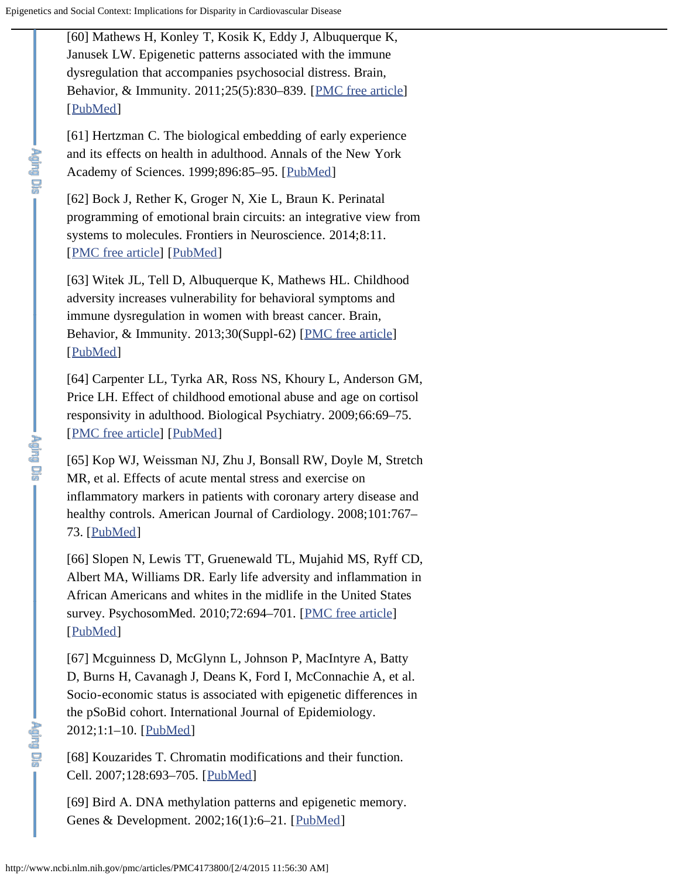<span id="page-18-0"></span>[60] Mathews H, Konley T, Kosik K, Eddy J, Albuquerque K, Janusek LW. Epigenetic patterns associated with the immune dysregulation that accompanies psychosocial distress. Brain, Behavior, & Immunity. 2011;25(5):830–839. [[PMC free article](http://www.ncbi.nlm.nih.gov/pmc/articles/PMC3079772/)] [[PubMed\]](http://www.ncbi.nlm.nih.gov/pubmed/21146603)

<span id="page-18-1"></span>[61] Hertzman C. The biological embedding of early experience and its effects on health in adulthood. Annals of the New York Academy of Sciences. 1999;896:85–95. [[PubMed\]](http://www.ncbi.nlm.nih.gov/pubmed/10681890)

<span id="page-18-2"></span>[62] Bock J, Rether K, Groger N, Xie L, Braun K. Perinatal programming of emotional brain circuits: an integrative view from systems to molecules. Frontiers in Neuroscience. 2014;8:11. [[PMC free article\]](http://www.ncbi.nlm.nih.gov/pmc/articles/PMC3913903/) [[PubMed\]](http://www.ncbi.nlm.nih.gov/pubmed/24550772)

<span id="page-18-3"></span>[63] Witek JL, Tell D, Albuquerque K, Mathews HL. Childhood adversity increases vulnerability for behavioral symptoms and immune dysregulation in women with breast cancer. Brain, Behavior, & Immunity. 2013;30(Suppl-62) [[PMC free article\]](http://www.ncbi.nlm.nih.gov/pmc/articles/PMC3492527/) [[PubMed\]](http://www.ncbi.nlm.nih.gov/pubmed/22659062)

<span id="page-18-4"></span>[64] Carpenter LL, Tyrka AR, Ross NS, Khoury L, Anderson GM, Price LH. Effect of childhood emotional abuse and age on cortisol responsivity in adulthood. Biological Psychiatry. 2009;66:69–75. [[PMC free article\]](http://www.ncbi.nlm.nih.gov/pmc/articles/PMC2696583/) [[PubMed\]](http://www.ncbi.nlm.nih.gov/pubmed/19375070)

<span id="page-18-5"></span>[65] Kop WJ, Weissman NJ, Zhu J, Bonsall RW, Doyle M, Stretch MR, et al. Effects of acute mental stress and exercise on inflammatory markers in patients with coronary artery disease and healthy controls. American Journal of Cardiology. 2008;101:767– 73. [[PubMed](http://www.ncbi.nlm.nih.gov/pubmed/18328837)]

<span id="page-18-6"></span>[66] Slopen N, Lewis TT, Gruenewald TL, Mujahid MS, Ryff CD, Albert MA, Williams DR. Early life adversity and inflammation in African Americans and whites in the midlife in the United States survey. PsychosomMed. 2010;72:694-701. [[PMC free article\]](http://www.ncbi.nlm.nih.gov/pmc/articles/PMC2939196/) [[PubMed\]](http://www.ncbi.nlm.nih.gov/pubmed/20595419)

<span id="page-18-7"></span>[67] Mcguinness D, McGlynn L, Johnson P, MacIntyre A, Batty D, Burns H, Cavanagh J, Deans K, Ford I, McConnachie A, et al. Socio-economic status is associated with epigenetic differences in the pSoBid cohort. International Journal of Epidemiology. 2012;1:1–10. [[PubMed\]](http://www.ncbi.nlm.nih.gov/pubmed/22253320)

<span id="page-18-8"></span>[68] Kouzarides T. Chromatin modifications and their function. Cell. 2007;128:693–705. [[PubMed\]](http://www.ncbi.nlm.nih.gov/pubmed/17320507)

<span id="page-18-9"></span>[69] Bird A. DNA methylation patterns and epigenetic memory. Genes & Development. 2002;16(1):6–21. [[PubMed\]](http://www.ncbi.nlm.nih.gov/pubmed/11782440)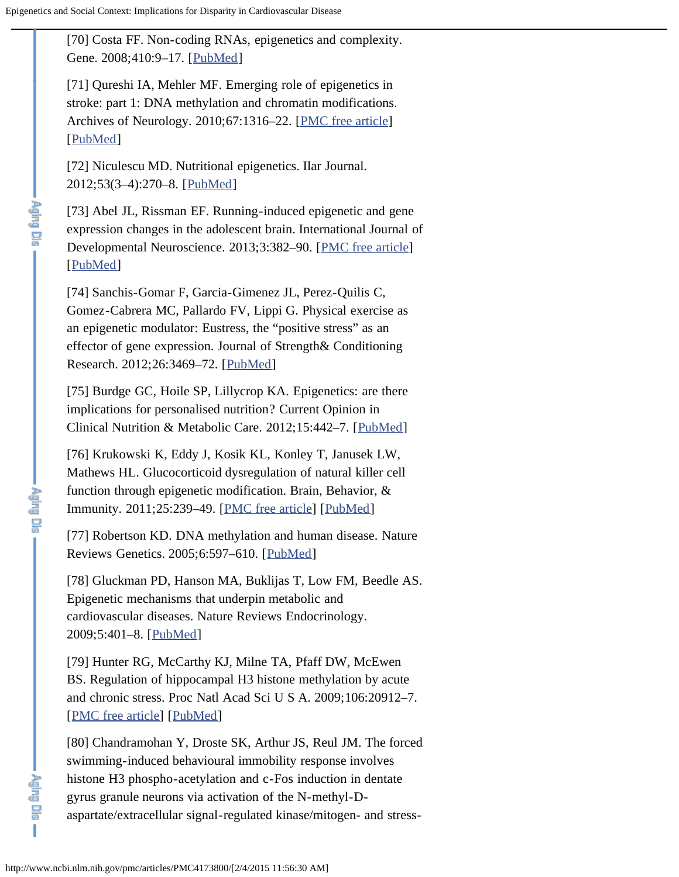<span id="page-19-0"></span>[70] Costa FF. Non-coding RNAs, epigenetics and complexity. Gene. 2008;410:9–17. [[PubMed\]](http://www.ncbi.nlm.nih.gov/pubmed/18226475)

<span id="page-19-1"></span>[71] Qureshi IA, Mehler MF. Emerging role of epigenetics in stroke: part 1: DNA methylation and chromatin modifications. Archives of Neurology. 2010;67:1316–22. [[PMC free article](http://www.ncbi.nlm.nih.gov/pmc/articles/PMC3685873/)] [[PubMed\]](http://www.ncbi.nlm.nih.gov/pubmed/21060009)

<span id="page-19-2"></span>[72] Niculescu MD. Nutritional epigenetics. Ilar Journal. 2012;53(3–4):270–8. [[PubMed\]](http://www.ncbi.nlm.nih.gov/pubmed/23744966)

[73] Abel JL, Rissman EF. Running-induced epigenetic and gene expression changes in the adolescent brain. International Journal of Developmental Neuroscience. 2013;3:382–90. [[PMC free article\]](http://www.ncbi.nlm.nih.gov/pmc/articles/PMC3686974/) [[PubMed\]](http://www.ncbi.nlm.nih.gov/pubmed/23178748)

[74] Sanchis-Gomar F, Garcia-Gimenez JL, Perez-Quilis C, Gomez-Cabrera MC, Pallardo FV, Lippi G. Physical exercise as an epigenetic modulator: Eustress, the "positive stress" as an effector of gene expression. Journal of Strength& Conditioning Research. 2012;26:3469–72. [[PubMed\]](http://www.ncbi.nlm.nih.gov/pubmed/22561977)

<span id="page-19-3"></span>[75] Burdge GC, Hoile SP, Lillycrop KA. Epigenetics: are there implications for personalised nutrition? Current Opinion in Clinical Nutrition & Metabolic Care. 2012;15:442–7. [[PubMed\]](http://www.ncbi.nlm.nih.gov/pubmed/22878237)

<span id="page-19-4"></span>[76] Krukowski K, Eddy J, Kosik KL, Konley T, Janusek LW, Mathews HL. Glucocorticoid dysregulation of natural killer cell function through epigenetic modification. Brain, Behavior, & Immunity. 2011;25:239–49. [[PMC free article](http://www.ncbi.nlm.nih.gov/pmc/articles/PMC2989339/)] [[PubMed\]](http://www.ncbi.nlm.nih.gov/pubmed/20656012)

<span id="page-19-5"></span>[77] Robertson KD. DNA methylation and human disease. Nature Reviews Genetics. 2005;6:597–610. [[PubMed\]](http://www.ncbi.nlm.nih.gov/pubmed/16136652)

<span id="page-19-6"></span>[78] Gluckman PD, Hanson MA, Buklijas T, Low FM, Beedle AS. Epigenetic mechanisms that underpin metabolic and cardiovascular diseases. Nature Reviews Endocrinology. 2009;5:401–8. [[PubMed\]](http://www.ncbi.nlm.nih.gov/pubmed/19488075)

<span id="page-19-7"></span>[79] Hunter RG, McCarthy KJ, Milne TA, Pfaff DW, McEwen BS. Regulation of hippocampal H3 histone methylation by acute and chronic stress. Proc Natl Acad Sci U S A. 2009;106:20912–7. [[PMC free article\]](http://www.ncbi.nlm.nih.gov/pmc/articles/PMC2791599/) [[PubMed\]](http://www.ncbi.nlm.nih.gov/pubmed/19934035)

[80] Chandramohan Y, Droste SK, Arthur JS, Reul JM. The forced swimming-induced behavioural immobility response involves histone H3 phospho-acetylation and c-Fos induction in dentate gyrus granule neurons via activation of the N-methyl-Daspartate/extracellular signal-regulated kinase/mitogen- and stress-

**Aging Dis** 

T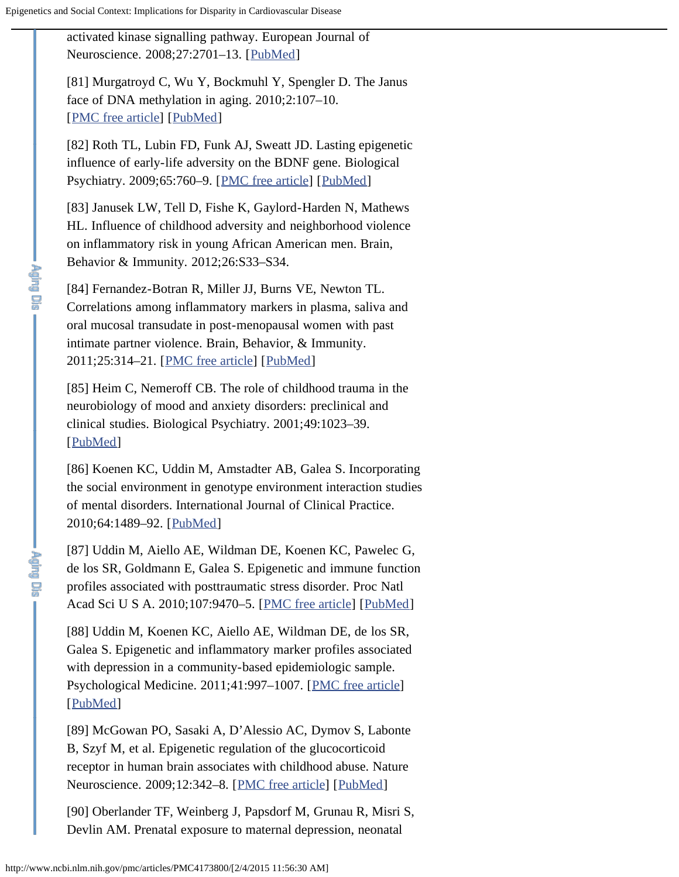<span id="page-20-4"></span>**Print Dra** 

<span id="page-20-7"></span>**Pajng Dis-**

<span id="page-20-0"></span>activated kinase signalling pathway. European Journal of Neuroscience. 2008;27:2701–13. [[PubMed\]](http://www.ncbi.nlm.nih.gov/pubmed/18513320)

<span id="page-20-1"></span>[81] Murgatroyd C, Wu Y, Bockmuhl Y, Spengler D. The Janus face of DNA methylation in aging. 2010;2:107–10. [[PMC free article\]](http://www.ncbi.nlm.nih.gov/pmc/articles/PMC2850147/) [[PubMed\]](http://www.ncbi.nlm.nih.gov/pubmed/20354272)

<span id="page-20-2"></span>[82] Roth TL, Lubin FD, Funk AJ, Sweatt JD. Lasting epigenetic influence of early-life adversity on the BDNF gene. Biological Psychiatry. 2009;65:760–9. [[PMC free article](http://www.ncbi.nlm.nih.gov/pmc/articles/PMC3056389/)] [[PubMed](http://www.ncbi.nlm.nih.gov/pubmed/19150054)]

<span id="page-20-3"></span>[83] Janusek LW, Tell D, Fishe K, Gaylord-Harden N, Mathews HL. Influence of childhood adversity and neighborhood violence on inflammatory risk in young African American men. Brain, Behavior & Immunity. 2012;26:S33–S34.

[84] Fernandez-Botran R, Miller JJ, Burns VE, Newton TL. Correlations among inflammatory markers in plasma, saliva and oral mucosal transudate in post-menopausal women with past intimate partner violence. Brain, Behavior, & Immunity. 2011;25:314–21. [[PMC free article](http://www.ncbi.nlm.nih.gov/pmc/articles/PMC3025073/)] [[PubMed\]](http://www.ncbi.nlm.nih.gov/pubmed/20888902)

<span id="page-20-5"></span>[85] Heim C, Nemeroff CB. The role of childhood trauma in the neurobiology of mood and anxiety disorders: preclinical and clinical studies. Biological Psychiatry. 2001;49:1023–39. [[PubMed\]](http://www.ncbi.nlm.nih.gov/pubmed/11430844)

<span id="page-20-6"></span>[86] Koenen KC, Uddin M, Amstadter AB, Galea S. Incorporating the social environment in genotype environment interaction studies of mental disorders. International Journal of Clinical Practice. 2010;64:1489–92. [[PubMed\]](http://www.ncbi.nlm.nih.gov/pubmed/20846196)

[87] Uddin M, Aiello AE, Wildman DE, Koenen KC, Pawelec G, de los SR, Goldmann E, Galea S. Epigenetic and immune function profiles associated with posttraumatic stress disorder. Proc Natl Acad Sci U S A. 2010;107:9470–5. [[PMC free article\]](http://www.ncbi.nlm.nih.gov/pmc/articles/PMC2889041/) [[PubMed\]](http://www.ncbi.nlm.nih.gov/pubmed/20439746)

<span id="page-20-8"></span>[88] Uddin M, Koenen KC, Aiello AE, Wildman DE, de los SR, Galea S. Epigenetic and inflammatory marker profiles associated with depression in a community-based epidemiologic sample. Psychological Medicine. 2011;41:997–1007. [[PMC free article](http://www.ncbi.nlm.nih.gov/pmc/articles/PMC3065166/)] [[PubMed\]](http://www.ncbi.nlm.nih.gov/pubmed/20836906)

<span id="page-20-9"></span>[89] McGowan PO, Sasaki A, D'Alessio AC, Dymov S, Labonte B, Szyf M, et al. Epigenetic regulation of the glucocorticoid receptor in human brain associates with childhood abuse. Nature Neuroscience. 2009;12:342–8. [[PMC free article](http://www.ncbi.nlm.nih.gov/pmc/articles/PMC2944040/)] [[PubMed\]](http://www.ncbi.nlm.nih.gov/pubmed/19234457)

[90] Oberlander TF, Weinberg J, Papsdorf M, Grunau R, Misri S, Devlin AM. Prenatal exposure to maternal depression, neonatal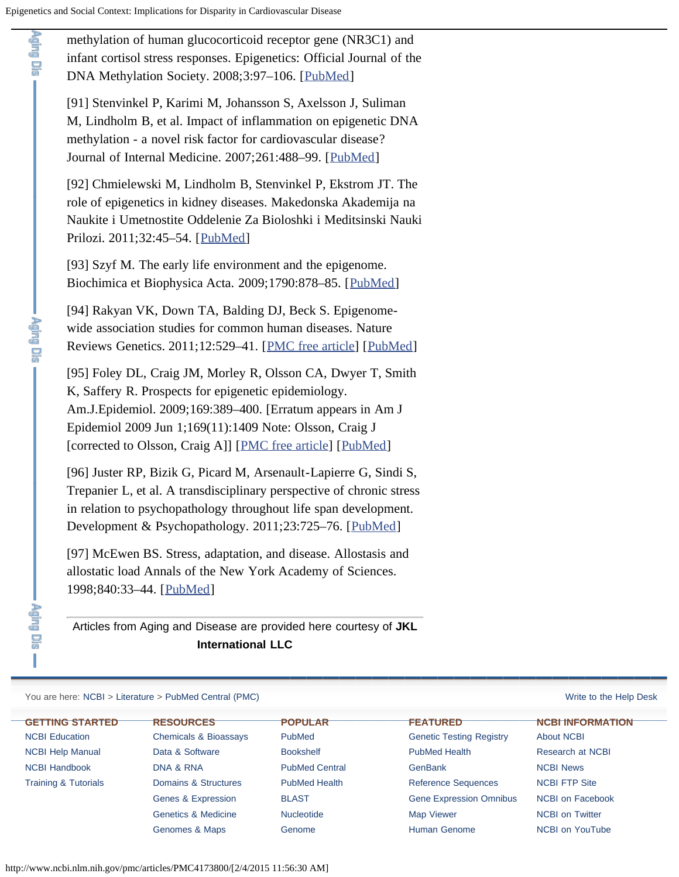<span id="page-21-0"></span>**Cardinal** 

methylation of human glucocorticoid receptor gene (NR3C1) and infant cortisol stress responses. Epigenetics: Official Journal of the DNA Methylation Society. 2008;3:97–106. [[PubMed\]](http://www.ncbi.nlm.nih.gov/pubmed/18536531)

<span id="page-21-1"></span>[91] Stenvinkel P, Karimi M, Johansson S, Axelsson J, Suliman M, Lindholm B, et al. Impact of inflammation on epigenetic DNA methylation - a novel risk factor for cardiovascular disease? Journal of Internal Medicine. 2007;261:488–99. [[PubMed\]](http://www.ncbi.nlm.nih.gov/pubmed/17444888)

<span id="page-21-2"></span>[92] Chmielewski M, Lindholm B, Stenvinkel P, Ekstrom JT. The role of epigenetics in kidney diseases. Makedonska Akademija na Naukite i Umetnostite Oddelenie Za Bioloshki i Meditsinski Nauki Prilozi. 2011;32:45–54. [[PubMed\]](http://www.ncbi.nlm.nih.gov/pubmed/21822177)

<span id="page-21-3"></span>[93] Szyf M. The early life environment and the epigenome. Biochimica et Biophysica Acta. 2009;1790:878–85. [[PubMed](http://www.ncbi.nlm.nih.gov/pubmed/19364482)]

<span id="page-21-4"></span>[94] Rakyan VK, Down TA, Balding DJ, Beck S. Epigenomewide association studies for common human diseases. Nature Reviews Genetics. 2011;12:529-41. [[PMC free article\]](http://www.ncbi.nlm.nih.gov/pmc/articles/PMC3508712/) [[PubMed\]](http://www.ncbi.nlm.nih.gov/pubmed/21747404)

[95] Foley DL, Craig JM, Morley R, Olsson CA, Dwyer T, Smith K, Saffery R. Prospects for epigenetic epidemiology. Am.J.Epidemiol. 2009;169:389–400. [Erratum appears in Am J Epidemiol 2009 Jun 1;169(11):1409 Note: Olsson, Craig J [corrected to Olsson, Craig A]] [[PMC free article](http://www.ncbi.nlm.nih.gov/pmc/articles/PMC3290967/)] [[PubMed\]](http://www.ncbi.nlm.nih.gov/pubmed/19139055)

[96] Juster RP, Bizik G, Picard M, Arsenault-Lapierre G, Sindi S, Trepanier L, et al. A transdisciplinary perspective of chronic stress in relation to psychopathology throughout life span development. Development & Psychopathology. 2011;23:725–76. [[PubMed\]](http://www.ncbi.nlm.nih.gov/pubmed/21756430)

[97] McEwen BS. Stress, adaptation, and disease. Allostasis and allostatic load Annals of the New York Academy of Sciences. 1998;840:33–44. [[PubMed\]](http://www.ncbi.nlm.nih.gov/pubmed/9629234)

Articles from Aging and Disease are provided here courtesy of **JKL International LLC**

### You are here: [NCBI](http://www.ncbi.nlm.nih.gov/guide/) > [Literature](http://www.ncbi.nlm.nih.gov/guide/literature/) > [PubMed Central \(PMC\)](http://www.ncbi.nlm.nih.gov/pmc/) [Write to the Help Desk](http://www.ncbi.nlm.nih.gov/sites/ehelp?&Ncbi_App=pmc&Db=pmc&Page=literature&Snapshot=/projects/PMC/PMCViewer@4.29&Time=2015-02-04T12:56:15-05:00&Host=ptpmc201)

**GETTING STARTED** [NCBI Education](http://www.ncbi.nlm.nih.gov/education/) [NCBI Help Manual](http://www.ncbi.nlm.nih.gov/books/NBK3831/) [NCBI Handbook](http://www.ncbi.nlm.nih.gov/books/NBK143764/) [Training & Tutorials](http://www.ncbi.nlm.nih.gov/guide/training-tutorials/)

5 I

> **RESOURCES** [Chemicals & Bioassays](http://www.ncbi.nlm.nih.gov/guide/chemicals-bioassays) [Data & Software](http://www.ncbi.nlm.nih.gov/guide/data-software) [DNA & RNA](http://www.ncbi.nlm.nih.gov/guide/dna-rna) [Domains & Structures](http://www.ncbi.nlm.nih.gov/guide/domains-structures) [Genes & Expression](http://www.ncbi.nlm.nih.gov/guide/genes-expression) [Genetics & Medicine](http://www.ncbi.nlm.nih.gov/guide/genetics-medicine) [Genomes & Maps](http://www.ncbi.nlm.nih.gov/guide/genomes-maps)

**POPULAR** [PubMed](http://www.ncbi.nlm.nih.gov/pubmed/) [Bookshelf](http://www.ncbi.nlm.nih.gov/books/) [PubMed Central](http://www.ncbi.nlm.nih.gov/pmc/) [PubMed Health](http://www.ncbi.nlm.nih.gov/pubmedhealth/) [BLAST](http://blast.ncbi.nlm.nih.gov/Blast.cgi) [Nucleotide](http://www.ncbi.nlm.nih.gov/nucleotide/) [Genome](http://www.ncbi.nlm.nih.gov/genome/)

# **FEATURED**

[Genetic Testing Registry](http://www.ncbi.nlm.nih.gov/gtr/) [PubMed Health](http://www.ncbi.nlm.nih.gov/pubmedhealth/) **[GenBank](http://www.ncbi.nlm.nih.gov/genbank/)** [Reference Sequences](http://www.ncbi.nlm.nih.gov/refseq/) [Gene Expression Omnibus](http://www.ncbi.nlm.nih.gov/geo/) [Map Viewer](http://www.ncbi.nlm.nih.gov/mapview/) [Human Genome](http://www.ncbi.nlm.nih.gov/genome/guide/human/)

### **NCBI INFORMATION**

[About NCBI](http://www.ncbi.nlm.nih.gov/About/) [Research at NCBI](http://www.ncbi.nlm.nih.gov/research/) [NCBI News](http://www.ncbi.nlm.nih.gov/news/) [NCBI FTP Site](http://www.ncbi.nlm.nih.gov/Ftp/) [NCBI on Facebook](https://www.facebook.com/ncbi.nlm) [NCBI on Twitter](https://twitter.com/ncbi) [NCBI on YouTube](http://www.youtube.com/ncbinlm)